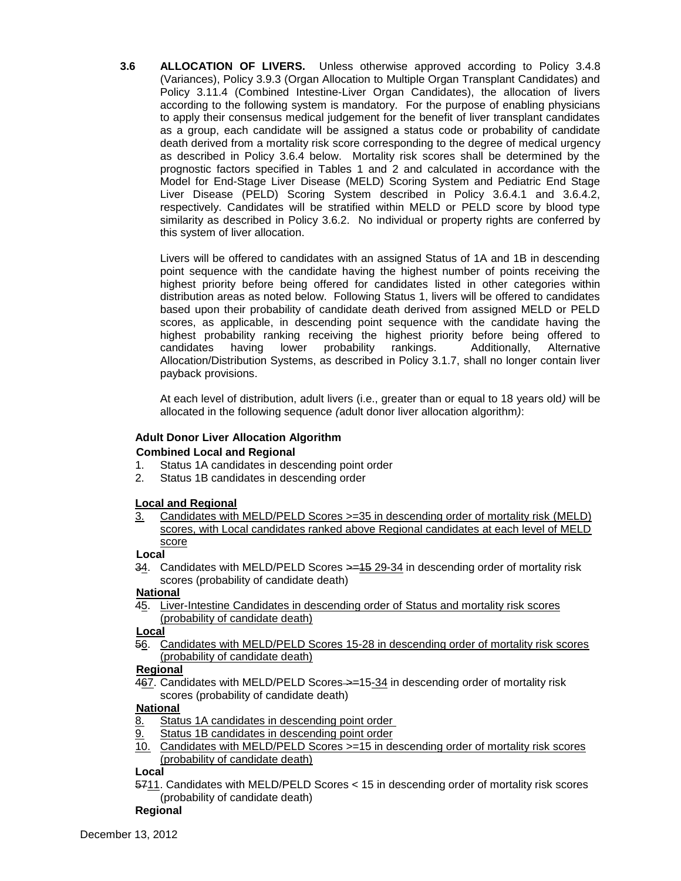**3.6 ALLOCATION OF LIVERS.** Unless otherwise approved according to Policy 3.4.8 (Variances), Policy 3.9.3 (Organ Allocation to Multiple Organ Transplant Candidates) and Policy 3.11.4 (Combined Intestine-Liver Organ Candidates), the allocation of livers according to the following system is mandatory. For the purpose of enabling physicians to apply their consensus medical judgement for the benefit of liver transplant candidates as a group, each candidate will be assigned a status code or probability of candidate death derived from a mortality risk score corresponding to the degree of medical urgency as described in Policy 3.6.4 below. Mortality risk scores shall be determined by the prognostic factors specified in Tables 1 and 2 and calculated in accordance with the Model for End-Stage Liver Disease (MELD) Scoring System and Pediatric End Stage Liver Disease (PELD) Scoring System described in Policy 3.6.4.1 and 3.6.4.2, respectively. Candidates will be stratified within MELD or PELD score by blood type similarity as described in Policy 3.6.2. No individual or property rights are conferred by this system of liver allocation.

Livers will be offered to candidates with an assigned Status of 1A and 1B in descending point sequence with the candidate having the highest number of points receiving the highest priority before being offered for candidates listed in other categories within distribution areas as noted below. Following Status 1, livers will be offered to candidates based upon their probability of candidate death derived from assigned MELD or PELD scores, as applicable, in descending point sequence with the candidate having the highest probability ranking receiving the highest priority before being offered to candidates having lower probability rankings. Additionally, Alternative Allocation/Distribution Systems, as described in Policy 3.1.7, shall no longer contain liver payback provisions.

At each level of distribution, adult livers (i.e., greater than or equal to 18 years old*)* will be allocated in the following sequence *(*adult donor liver allocation algorithm*)*:

# **Adult Donor Liver Allocation Algorithm**

## **Combined Local and Regional**

- 1. Status 1A candidates in descending point order
- 2. Status 1B candidates in descending order

## **Local and Regional**

3. Candidates with MELD/PELD Scores >=35 in descending order of mortality risk (MELD) scores, with Local candidates ranked above Regional candidates at each level of MELD score

### **Local**

34. Candidates with MELD/PELD Scores > = 15 29-34 in descending order of mortality risk scores (probability of candidate death)

## **National**

45. Liver-Intestine Candidates in descending order of Status and mortality risk scores (probability of candidate death)

**Local**

56. Candidates with MELD/PELD Scores 15-28 in descending order of mortality risk scores (probability of candidate death)

# **Regional**

467. Candidates with MELD/PELD Scores->=15-34 in descending order of mortality risk scores (probability of candidate death)

## **National**

- 8. Status 1A candidates in descending point order
- 9. Status 1B candidates in descending point order
- 10. Candidates with MELD/PELD Scores >=15 in descending order of mortality risk scores (probability of candidate death)

### **Local**

5711. Candidates with MELD/PELD Scores < 15 in descending order of mortality risk scores (probability of candidate death)

### **Regional**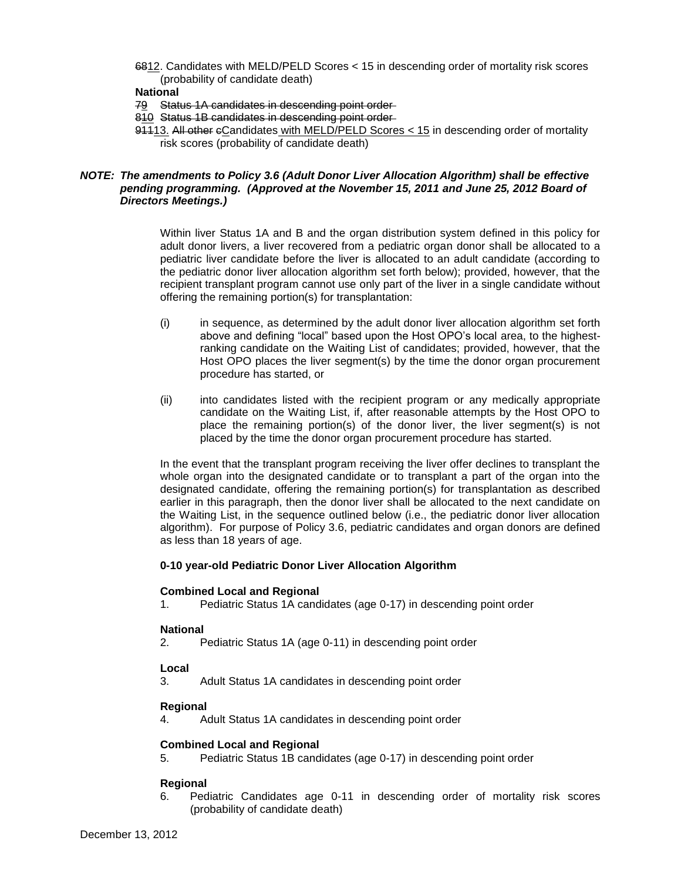6812. Candidates with MELD/PELD Scores < 15 in descending order of mortality risk scores (probability of candidate death)

#### **National**

- 79 Status 1A candidates in descending point order
- 810 Status 1B candidates in descending point order
- 91113. All other eCandidates with MELD/PELD Scores < 15 in descending order of mortality risk scores (probability of candidate death)

### *NOTE: The amendments to Policy 3.6 (Adult Donor Liver Allocation Algorithm) shall be effective pending programming. (Approved at the November 15, 2011 and June 25, 2012 Board of Directors Meetings.)*

Within liver Status 1A and B and the organ distribution system defined in this policy for adult donor livers, a liver recovered from a pediatric organ donor shall be allocated to a pediatric liver candidate before the liver is allocated to an adult candidate (according to the pediatric donor liver allocation algorithm set forth below); provided, however, that the recipient transplant program cannot use only part of the liver in a single candidate without offering the remaining portion(s) for transplantation:

- (i) in sequence, as determined by the adult donor liver allocation algorithm set forth above and defining "local" based upon the Host OPO's local area, to the highestranking candidate on the Waiting List of candidates; provided, however, that the Host OPO places the liver segment(s) by the time the donor organ procurement procedure has started, or
- (ii) into candidates listed with the recipient program or any medically appropriate candidate on the Waiting List, if, after reasonable attempts by the Host OPO to place the remaining portion(s) of the donor liver, the liver segment(s) is not placed by the time the donor organ procurement procedure has started.

In the event that the transplant program receiving the liver offer declines to transplant the whole organ into the designated candidate or to transplant a part of the organ into the designated candidate, offering the remaining portion(s) for transplantation as described earlier in this paragraph, then the donor liver shall be allocated to the next candidate on the Waiting List, in the sequence outlined below (i.e., the pediatric donor liver allocation algorithm). For purpose of Policy 3.6, pediatric candidates and organ donors are defined as less than 18 years of age.

### **0-10 year-old Pediatric Donor Liver Allocation Algorithm**

#### **Combined Local and Regional**

1. Pediatric Status 1A candidates (age 0-17) in descending point order

### **National**

2. Pediatric Status 1A (age 0-11) in descending point order

### **Local**

3. Adult Status 1A candidates in descending point order

### **Regional**

4. Adult Status 1A candidates in descending point order

### **Combined Local and Regional**

5. Pediatric Status 1B candidates (age 0-17) in descending point order

### **Regional**

6. Pediatric Candidates age 0-11 in descending order of mortality risk scores (probability of candidate death)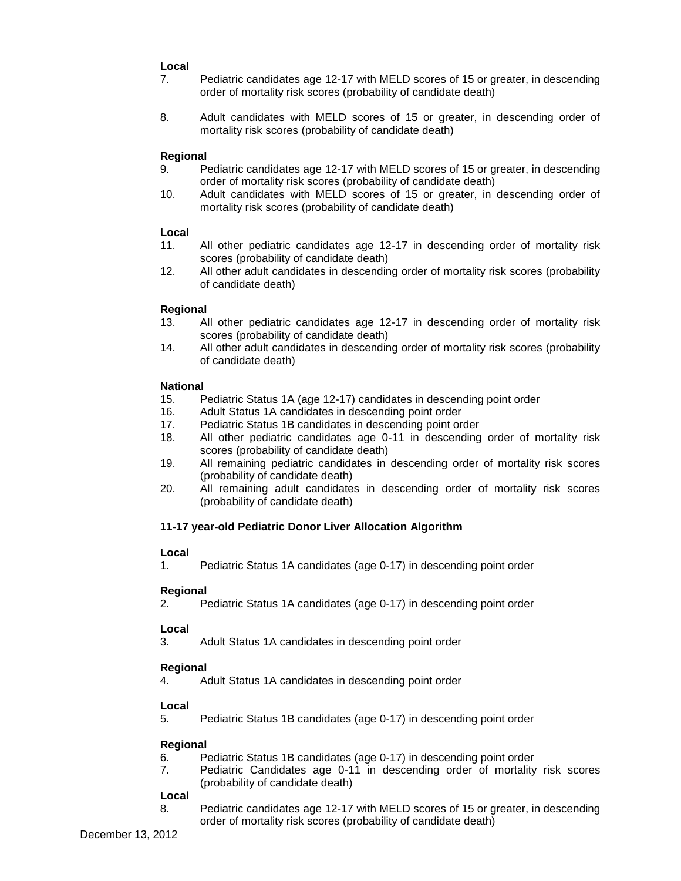## **Local**

- 7. Pediatric candidates age 12-17 with MELD scores of 15 or greater, in descending order of mortality risk scores (probability of candidate death)
- 8. Adult candidates with MELD scores of 15 or greater, in descending order of mortality risk scores (probability of candidate death)

## **Regional**

- 9. Pediatric candidates age 12-17 with MELD scores of 15 or greater, in descending order of mortality risk scores (probability of candidate death)
- 10. Adult candidates with MELD scores of 15 or greater, in descending order of mortality risk scores (probability of candidate death)

## **Local**

- 11. All other pediatric candidates age 12-17 in descending order of mortality risk scores (probability of candidate death)
- 12. All other adult candidates in descending order of mortality risk scores (probability of candidate death)

## **Regional**

- 13. All other pediatric candidates age 12-17 in descending order of mortality risk scores (probability of candidate death)
- 14. All other adult candidates in descending order of mortality risk scores (probability of candidate death)

## **National**

- 15. Pediatric Status 1A (age 12-17) candidates in descending point order
- 16. Adult Status 1A candidates in descending point order
- 17. Pediatric Status 1B candidates in descending point order
- 18. All other pediatric candidates age 0-11 in descending order of mortality risk scores (probability of candidate death)
- 19. All remaining pediatric candidates in descending order of mortality risk scores (probability of candidate death)
- 20. All remaining adult candidates in descending order of mortality risk scores (probability of candidate death)

## **11-17 year-old Pediatric Donor Liver Allocation Algorithm**

### **Local**

1. Pediatric Status 1A candidates (age 0-17) in descending point order

## **Regional**

2. Pediatric Status 1A candidates (age 0-17) in descending point order

## **Local**

3. Adult Status 1A candidates in descending point order

## **Regional**

4. Adult Status 1A candidates in descending point order

## **Local**

5. Pediatric Status 1B candidates (age 0-17) in descending point order

### **Regional**

- 6. Pediatric Status 1B candidates (age 0-17) in descending point order
- 7. Pediatric Candidates age 0-11 in descending order of mortality risk scores (probability of candidate death)

### **Local**

8. Pediatric candidates age 12-17 with MELD scores of 15 or greater, in descending order of mortality risk scores (probability of candidate death)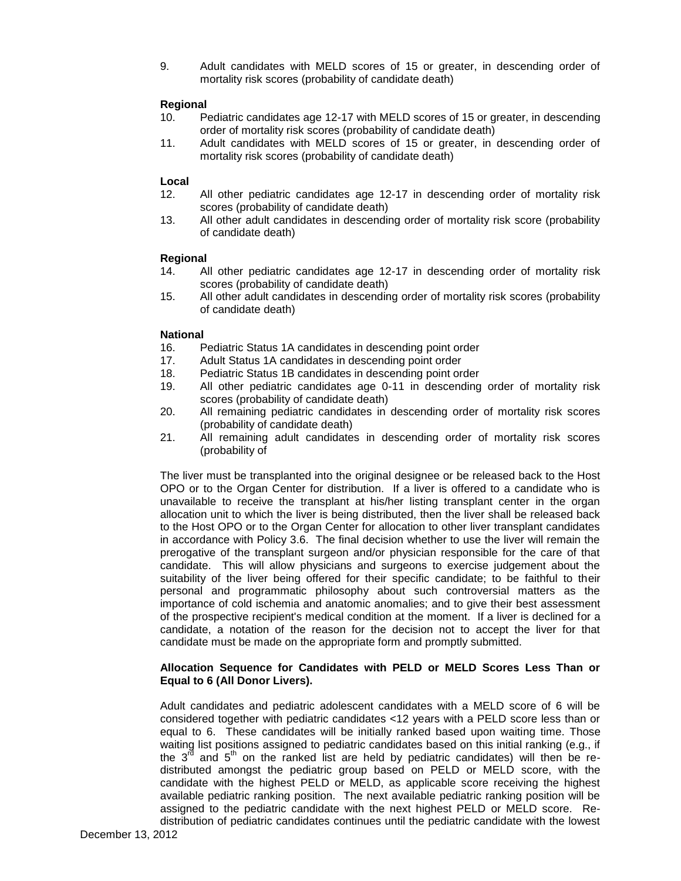9. Adult candidates with MELD scores of 15 or greater, in descending order of mortality risk scores (probability of candidate death)

## **Regional**

- 10. Pediatric candidates age 12-17 with MELD scores of 15 or greater, in descending order of mortality risk scores (probability of candidate death)
- 11. Adult candidates with MELD scores of 15 or greater, in descending order of mortality risk scores (probability of candidate death)

## **Local**

- 12. All other pediatric candidates age 12-17 in descending order of mortality risk scores (probability of candidate death)
- 13. All other adult candidates in descending order of mortality risk score (probability of candidate death)

## **Regional**

- 14. All other pediatric candidates age 12-17 in descending order of mortality risk scores (probability of candidate death)
- 15. All other adult candidates in descending order of mortality risk scores (probability of candidate death)

### **National**

- 16. Pediatric Status 1A candidates in descending point order
- 17. Adult Status 1A candidates in descending point order
- 18. Pediatric Status 1B candidates in descending point order
- 19. All other pediatric candidates age 0-11 in descending order of mortality risk scores (probability of candidate death)
- 20. All remaining pediatric candidates in descending order of mortality risk scores (probability of candidate death)
- 21. All remaining adult candidates in descending order of mortality risk scores (probability of

The liver must be transplanted into the original designee or be released back to the Host OPO or to the Organ Center for distribution. If a liver is offered to a candidate who is unavailable to receive the transplant at his/her listing transplant center in the organ allocation unit to which the liver is being distributed, then the liver shall be released back to the Host OPO or to the Organ Center for allocation to other liver transplant candidates in accordance with Policy 3.6. The final decision whether to use the liver will remain the prerogative of the transplant surgeon and/or physician responsible for the care of that candidate. This will allow physicians and surgeons to exercise judgement about the suitability of the liver being offered for their specific candidate; to be faithful to their personal and programmatic philosophy about such controversial matters as the importance of cold ischemia and anatomic anomalies; and to give their best assessment of the prospective recipient's medical condition at the moment. If a liver is declined for a candidate, a notation of the reason for the decision not to accept the liver for that candidate must be made on the appropriate form and promptly submitted.

## **Allocation Sequence for Candidates with PELD or MELD Scores Less Than or Equal to 6 (All Donor Livers).**

Adult candidates and pediatric adolescent candidates with a MELD score of 6 will be considered together with pediatric candidates <12 years with a PELD score less than or equal to 6. These candidates will be initially ranked based upon waiting time. Those waiting list positions assigned to pediatric candidates based on this initial ranking (e.g., if the  $3<sup>rd</sup>$  and  $5<sup>th</sup>$  on the ranked list are held by pediatric candidates) will then be redistributed amongst the pediatric group based on PELD or MELD score, with the candidate with the highest PELD or MELD, as applicable score receiving the highest available pediatric ranking position. The next available pediatric ranking position will be assigned to the pediatric candidate with the next highest PELD or MELD score. Redistribution of pediatric candidates continues until the pediatric candidate with the lowest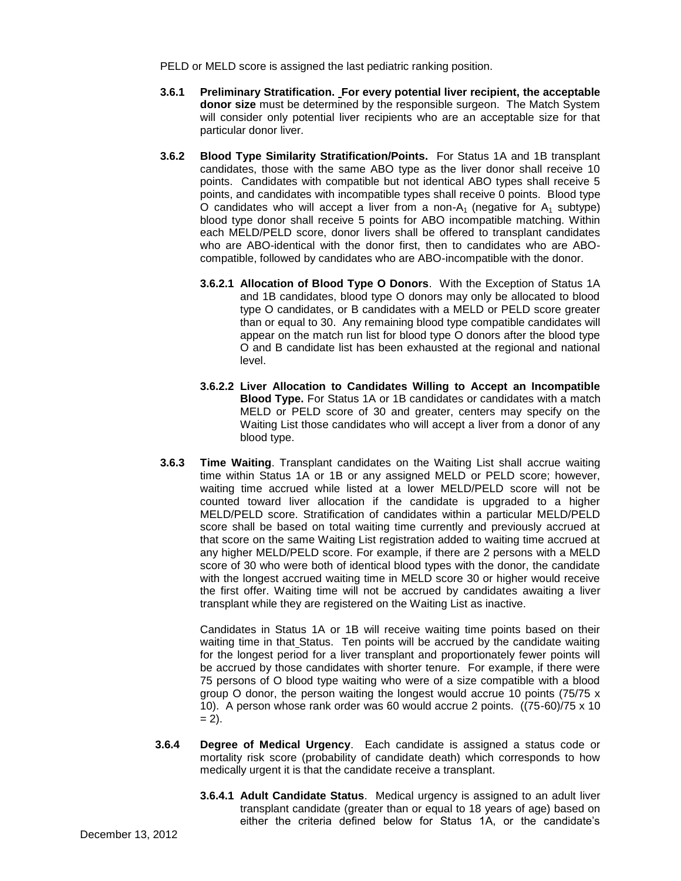PELD or MELD score is assigned the last pediatric ranking position.

- **3.6.1 Preliminary Stratification. For every potential liver recipient, the acceptable donor size** must be determined by the responsible surgeon. The Match System will consider only potential liver recipients who are an acceptable size for that particular donor liver.
- **3.6.2 Blood Type Similarity Stratification/Points.** For Status 1A and 1B transplant candidates, those with the same ABO type as the liver donor shall receive 10 points. Candidates with compatible but not identical ABO types shall receive 5 points, and candidates with incompatible types shall receive 0 points. Blood type O candidates who will accept a liver from a non- $A_1$  (negative for  $A_1$  subtype) blood type donor shall receive 5 points for ABO incompatible matching. Within each MELD/PELD score, donor livers shall be offered to transplant candidates who are ABO-identical with the donor first, then to candidates who are ABOcompatible, followed by candidates who are ABO-incompatible with the donor.
	- **3.6.2.1 Allocation of Blood Type O Donors**. With the Exception of Status 1A and 1B candidates, blood type O donors may only be allocated to blood type O candidates, or B candidates with a MELD or PELD score greater than or equal to 30. Any remaining blood type compatible candidates will appear on the match run list for blood type O donors after the blood type O and B candidate list has been exhausted at the regional and national level.
	- **3.6.2.2 Liver Allocation to Candidates Willing to Accept an Incompatible Blood Type.** For Status 1A or 1B candidates or candidates with a match MELD or PELD score of 30 and greater, centers may specify on the Waiting List those candidates who will accept a liver from a donor of any blood type.
- **3.6.3 Time Waiting**. Transplant candidates on the Waiting List shall accrue waiting time within Status 1A or 1B or any assigned MELD or PELD score; however, waiting time accrued while listed at a lower MELD/PELD score will not be counted toward liver allocation if the candidate is upgraded to a higher MELD/PELD score. Stratification of candidates within a particular MELD/PELD score shall be based on total waiting time currently and previously accrued at that score on the same Waiting List registration added to waiting time accrued at any higher MELD/PELD score. For example, if there are 2 persons with a MELD score of 30 who were both of identical blood types with the donor, the candidate with the longest accrued waiting time in MELD score 30 or higher would receive the first offer. Waiting time will not be accrued by candidates awaiting a liver transplant while they are registered on the Waiting List as inactive.

Candidates in Status 1A or 1B will receive waiting time points based on their waiting time in that Status. Ten points will be accrued by the candidate waiting for the longest period for a liver transplant and proportionately fewer points will be accrued by those candidates with shorter tenure. For example, if there were 75 persons of O blood type waiting who were of a size compatible with a blood group O donor, the person waiting the longest would accrue 10 points (75/75 x 10). A person whose rank order was 60 would accrue 2 points. ((75-60)/75 x 10  $= 2$ ).

- **3.6.4 Degree of Medical Urgency**. Each candidate is assigned a status code or mortality risk score (probability of candidate death) which corresponds to how medically urgent it is that the candidate receive a transplant.
	- **3.6.4.1 Adult Candidate Status**. Medical urgency is assigned to an adult liver transplant candidate (greater than or equal to 18 years of age) based on either the criteria defined below for Status 1A, or the candidate's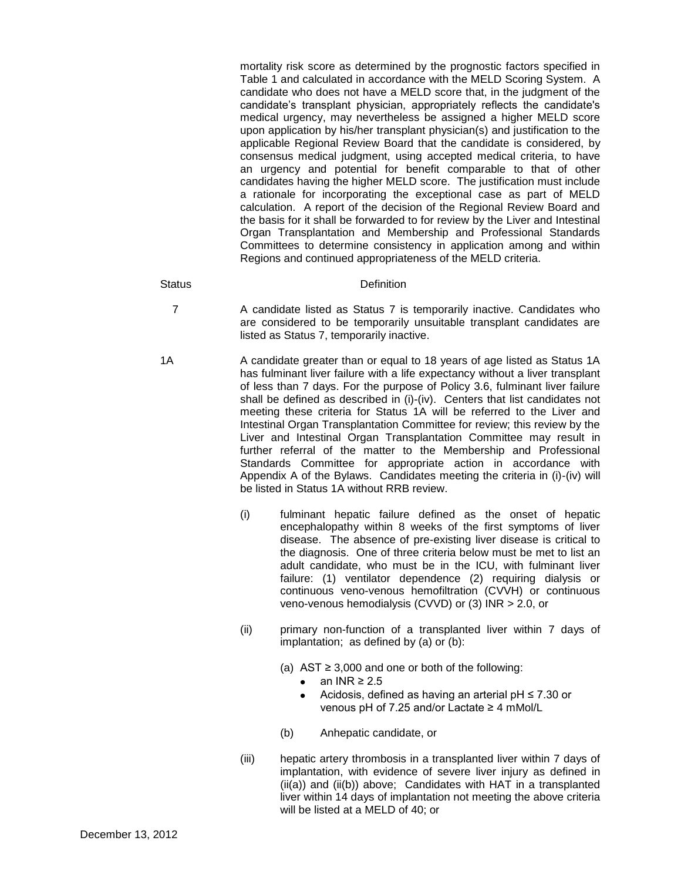mortality risk score as determined by the prognostic factors specified in Table 1 and calculated in accordance with the MELD Scoring System. A candidate who does not have a MELD score that, in the judgment of the candidate's transplant physician, appropriately reflects the candidate's medical urgency, may nevertheless be assigned a higher MELD score upon application by his/her transplant physician(s) and justification to the applicable Regional Review Board that the candidate is considered, by consensus medical judgment, using accepted medical criteria, to have an urgency and potential for benefit comparable to that of other candidates having the higher MELD score. The justification must include a rationale for incorporating the exceptional case as part of MELD calculation. A report of the decision of the Regional Review Board and the basis for it shall be forwarded to for review by the Liver and Intestinal Organ Transplantation and Membership and Professional Standards Committees to determine consistency in application among and within Regions and continued appropriateness of the MELD criteria.

#### Status **Definition**

- 7 A candidate listed as Status 7 is temporarily inactive. Candidates who are considered to be temporarily unsuitable transplant candidates are listed as Status 7, temporarily inactive.
- 1A A candidate greater than or equal to 18 years of age listed as Status 1A has fulminant liver failure with a life expectancy without a liver transplant of less than 7 days. For the purpose of Policy 3.6, fulminant liver failure shall be defined as described in (i)-(iv). Centers that list candidates not meeting these criteria for Status 1A will be referred to the Liver and Intestinal Organ Transplantation Committee for review; this review by the Liver and Intestinal Organ Transplantation Committee may result in further referral of the matter to the Membership and Professional Standards Committee for appropriate action in accordance with Appendix A of the Bylaws. Candidates meeting the criteria in (i)-(iv) will be listed in Status 1A without RRB review.
	- (i) fulminant hepatic failure defined as the onset of hepatic encephalopathy within 8 weeks of the first symptoms of liver disease. The absence of pre-existing liver disease is critical to the diagnosis. One of three criteria below must be met to list an adult candidate, who must be in the ICU, with fulminant liver failure: (1) ventilator dependence (2) requiring dialysis or continuous veno-venous hemofiltration (CVVH) or continuous veno-venous hemodialysis (CVVD) or (3) INR > 2.0, or
	- (ii) primary non-function of a transplanted liver within 7 days of implantation; as defined by (a) or (b):
		- (a)  $AST \geq 3,000$  and one or both of the following:
			- $\bullet$  an INR  $\geq 2.5$
			- $\bullet$ Acidosis, defined as having an arterial  $pH \le 7.30$  or venous pH of 7.25 and/or Lactate ≥ 4 mMol/L
		- (b) Anhepatic candidate, or
	- (iii) hepatic artery thrombosis in a transplanted liver within 7 days of implantation, with evidence of severe liver injury as defined in (ii(a)) and (ii(b)) above; Candidates with HAT in a transplanted liver within 14 days of implantation not meeting the above criteria will be listed at a MELD of 40; or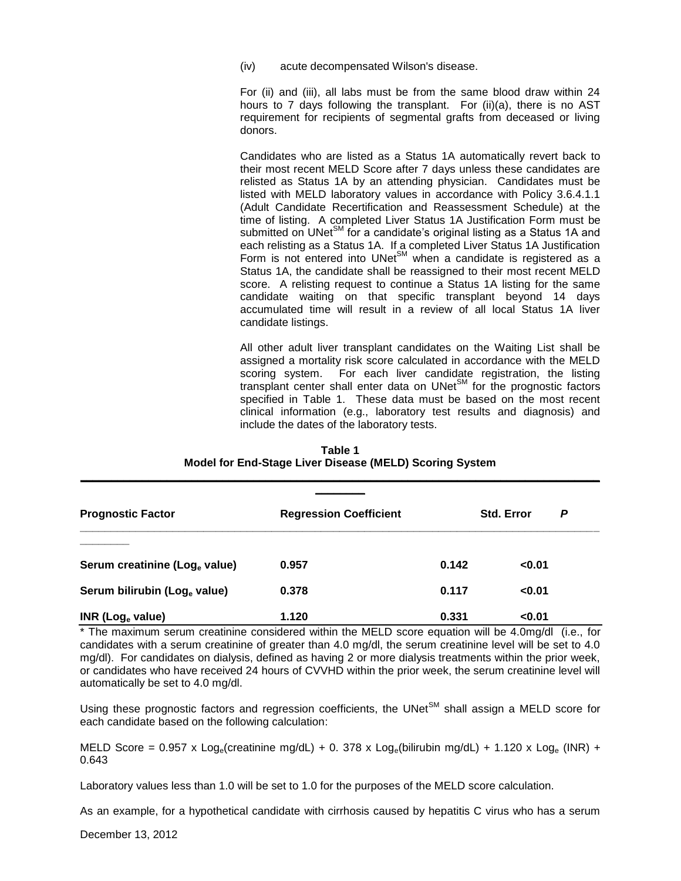(iv) acute decompensated Wilson's disease.

For (ii) and (iii), all labs must be from the same blood draw within 24 hours to 7 days following the transplant. For (ii)(a), there is no AST requirement for recipients of segmental grafts from deceased or living donors.

Candidates who are listed as a Status 1A automatically revert back to their most recent MELD Score after 7 days unless these candidates are relisted as Status 1A by an attending physician. Candidates must be listed with MELD laboratory values in accordance with Policy 3.6.4.1.1 (Adult Candidate Recertification and Reassessment Schedule) at the time of listing. A completed Liver Status 1A Justification Form must be submitted on UNet<sup>SM</sup> for a candidate's original listing as a Status 1A and each relisting as a Status 1A. If a completed Liver Status 1A Justification Form is not entered into UNet $^{\text{SM}}$  when a candidate is registered as a Status 1A, the candidate shall be reassigned to their most recent MELD score. A relisting request to continue a Status 1A listing for the same candidate waiting on that specific transplant beyond 14 days accumulated time will result in a review of all local Status 1A liver candidate listings.

All other adult liver transplant candidates on the Waiting List shall be assigned a mortality risk score calculated in accordance with the MELD scoring system. For each liver candidate registration, the listing transplant center shall enter data on UNet $\mathbf{S}^{\text{M}}$  for the prognostic factors specified in Table 1. These data must be based on the most recent clinical information (e.g., laboratory test results and diagnosis) and include the dates of the laboratory tests.

| <b>Prognostic Factor</b>                 | <b>Regression Coefficient</b> |       | <b>Std. Error</b> | P |
|------------------------------------------|-------------------------------|-------|-------------------|---|
| Serum creatinine (Log. value)            | 0.957                         | 0.142 | < 0.01            |   |
| Serum bilirubin (Log <sub>e</sub> value) | 0.378                         | 0.117 | < 0.01            |   |
| INR (Log $_{\rm e}$ value)               | 1.120                         | 0.331 | < 0.01            |   |

| Table 1                                                 |
|---------------------------------------------------------|
| Model for End-Stage Liver Disease (MELD) Scoring System |

\* The maximum serum creatinine considered within the MELD score equation will be 4.0mg/dl (i.e., for candidates with a serum creatinine of greater than 4.0 mg/dl, the serum creatinine level will be set to 4.0 mg/dl). For candidates on dialysis, defined as having 2 or more dialysis treatments within the prior week, or candidates who have received 24 hours of CVVHD within the prior week, the serum creatinine level will automatically be set to 4.0 mg/dl.

Using these prognostic factors and regression coefficients, the UNet $^{SM}$  shall assign a MELD score for each candidate based on the following calculation:

MELD Score =  $0.957 \times$  Log<sub>e</sub>(creatinine mg/dL) + 0. 378 x Log<sub>e</sub>(bilirubin mg/dL) + 1.120 x Log<sub>e</sub> (INR) + 0.643

Laboratory values less than 1.0 will be set to 1.0 for the purposes of the MELD score calculation.

As an example, for a hypothetical candidate with cirrhosis caused by hepatitis C virus who has a serum

December 13, 2012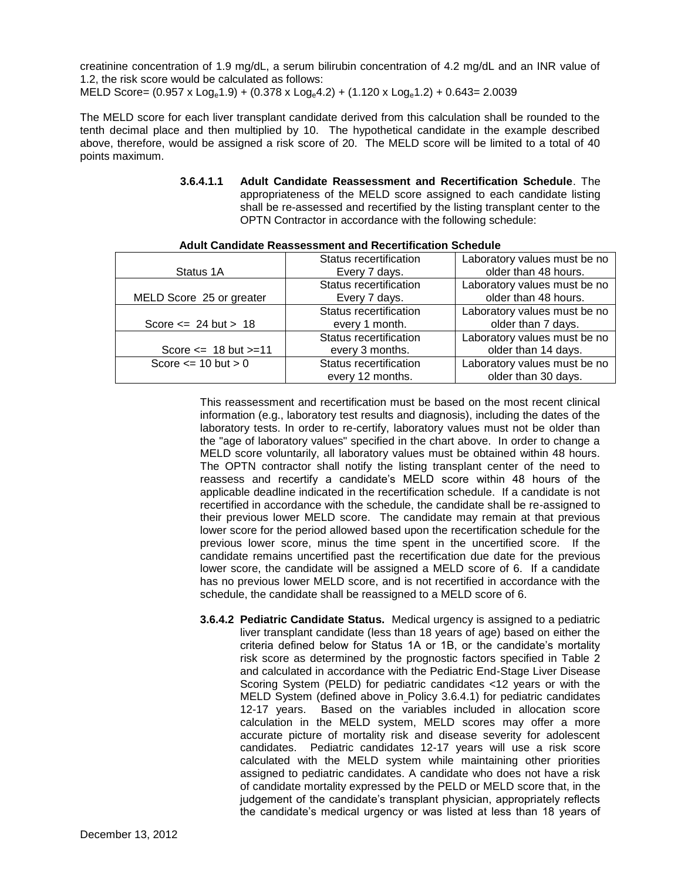creatinine concentration of 1.9 mg/dL, a serum bilirubin concentration of 4.2 mg/dL and an INR value of 1.2, the risk score would be calculated as follows:

MELD Score=  $(0.957 \times Log_e 1.9) + (0.378 \times Log_e 4.2) + (1.120 \times Log_e 1.2) + 0.643 = 2.0039$ 

The MELD score for each liver transplant candidate derived from this calculation shall be rounded to the tenth decimal place and then multiplied by 10. The hypothetical candidate in the example described above, therefore, would be assigned a risk score of 20. The MELD score will be limited to a total of 40 points maximum.

> **3.6.4.1.1 Adult Candidate Reassessment and Recertification Schedule**. The appropriateness of the MELD score assigned to each candidate listing shall be re-assessed and recertified by the listing transplant center to the OPTN Contractor in accordance with the following schedule:

|                               | Status recertification | Laboratory values must be no |  |
|-------------------------------|------------------------|------------------------------|--|
| Status 1A                     | Every 7 days.          | older than 48 hours.         |  |
|                               | Status recertification | Laboratory values must be no |  |
| MELD Score 25 or greater      | Every 7 days.          | older than 48 hours.         |  |
|                               | Status recertification | Laboratory values must be no |  |
| Score $\leq$ 24 but > 18      | every 1 month.         | older than 7 days.           |  |
|                               | Status recertification | Laboratory values must be no |  |
| Score $\le$ 18 but $\ge$ = 11 | every 3 months.        | older than 14 days.          |  |
| Score $\leq$ 10 but $>$ 0     | Status recertification | Laboratory values must be no |  |
|                               | every 12 months.       | older than 30 days.          |  |

#### **Adult Candidate Reassessment and Recertification Schedule**

This reassessment and recertification must be based on the most recent clinical information (e.g., laboratory test results and diagnosis), including the dates of the laboratory tests. In order to re-certify, laboratory values must not be older than the "age of laboratory values" specified in the chart above. In order to change a MELD score voluntarily, all laboratory values must be obtained within 48 hours. The OPTN contractor shall notify the listing transplant center of the need to reassess and recertify a candidate's MELD score within 48 hours of the applicable deadline indicated in the recertification schedule. If a candidate is not recertified in accordance with the schedule, the candidate shall be re-assigned to their previous lower MELD score. The candidate may remain at that previous lower score for the period allowed based upon the recertification schedule for the previous lower score, minus the time spent in the uncertified score. If the candidate remains uncertified past the recertification due date for the previous lower score, the candidate will be assigned a MELD score of 6. If a candidate has no previous lower MELD score, and is not recertified in accordance with the schedule, the candidate shall be reassigned to a MELD score of 6.

**3.6.4.2 Pediatric Candidate Status.** Medical urgency is assigned to a pediatric liver transplant candidate (less than 18 years of age) based on either the criteria defined below for Status 1A or 1B, or the candidate's mortality risk score as determined by the prognostic factors specified in Table 2 and calculated in accordance with the Pediatric End-Stage Liver Disease Scoring System (PELD) for pediatric candidates <12 years or with the MELD System (defined above in Policy 3.6.4.1) for pediatric candidates 12-17 years. Based on the variables included in allocation score calculation in the MELD system, MELD scores may offer a more accurate picture of mortality risk and disease severity for adolescent candidates. Pediatric candidates 12-17 years will use a risk score calculated with the MELD system while maintaining other priorities assigned to pediatric candidates. A candidate who does not have a risk of candidate mortality expressed by the PELD or MELD score that, in the judgement of the candidate's transplant physician, appropriately reflects the candidate's medical urgency or was listed at less than 18 years of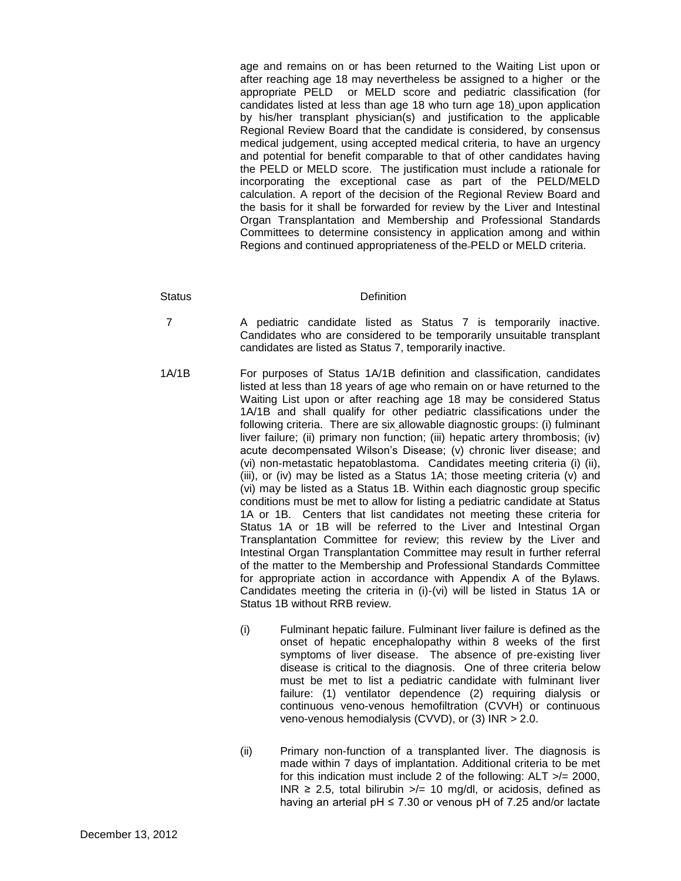age and remains on or has been returned to the Waiting List upon or after reaching age 18 may nevertheless be assigned to a higher or the appropriate PELD or MELD score and pediatric classification (for candidates listed at less than age 18 who turn age 18) upon application by his/her transplant physician(s) and justification to the applicable Regional Review Board that the candidate is considered, by consensus medical judgement, using accepted medical criteria, to have an urgency and potential for benefit comparable to that of other candidates having the PELD or MELD score. The justification must include a rationale for incorporating the exceptional case as part of the PELD/MELD calculation. A report of the decision of the Regional Review Board and the basis for it shall be forwarded for review by the Liver and Intestinal Organ Transplantation and Membership and Professional Standards Committees to determine consistency in application among and within Regions and continued appropriateness of the PELD or MELD criteria.

#### Status **Definition**

- 7 A pediatric candidate listed as Status 7 is temporarily inactive. Candidates who are considered to be temporarily unsuitable transplant candidates are listed as Status 7, temporarily inactive.
- 1A/1B For purposes of Status 1A/1B definition and classification, candidates listed at less than 18 years of age who remain on or have returned to the Waiting List upon or after reaching age 18 may be considered Status 1A/1B and shall qualify for other pediatric classifications under the following criteria. There are six allowable diagnostic groups: (i) fulminant liver failure; (ii) primary non function; (iii) hepatic artery thrombosis; (iv) acute decompensated Wilson's Disease; (v) chronic liver disease; and (vi) non-metastatic hepatoblastoma. Candidates meeting criteria (i) (ii), (iii), or (iv) may be listed as a Status 1A; those meeting criteria (v) and (vi) may be listed as a Status 1B. Within each diagnostic group specific conditions must be met to allow for listing a pediatric candidate at Status 1A or 1B. Centers that list candidates not meeting these criteria for Status 1A or 1B will be referred to the Liver and Intestinal Organ Transplantation Committee for review; this review by the Liver and Intestinal Organ Transplantation Committee may result in further referral of the matter to the Membership and Professional Standards Committee for appropriate action in accordance with Appendix A of the Bylaws. Candidates meeting the criteria in (i)-(vi) will be listed in Status 1A or Status 1B without RRB review.
	- (i) Fulminant hepatic failure. Fulminant liver failure is defined as the onset of hepatic encephalopathy within 8 weeks of the first symptoms of liver disease. The absence of pre-existing liver disease is critical to the diagnosis. One of three criteria below must be met to list a pediatric candidate with fulminant liver failure: (1) ventilator dependence (2) requiring dialysis or continuous veno-venous hemofiltration (CVVH) or continuous veno-venous hemodialysis (CVVD), or (3) INR > 2.0.
	- (ii) Primary non-function of a transplanted liver. The diagnosis is made within 7 days of implantation. Additional criteria to be met for this indication must include 2 of the following:  $ALT \geq 2000$ , INR  $\geq$  2.5, total bilirubin  $\geq$  = 10 mg/dl, or acidosis, defined as having an arterial pH  $\leq$  7.30 or venous pH of 7.25 and/or lactate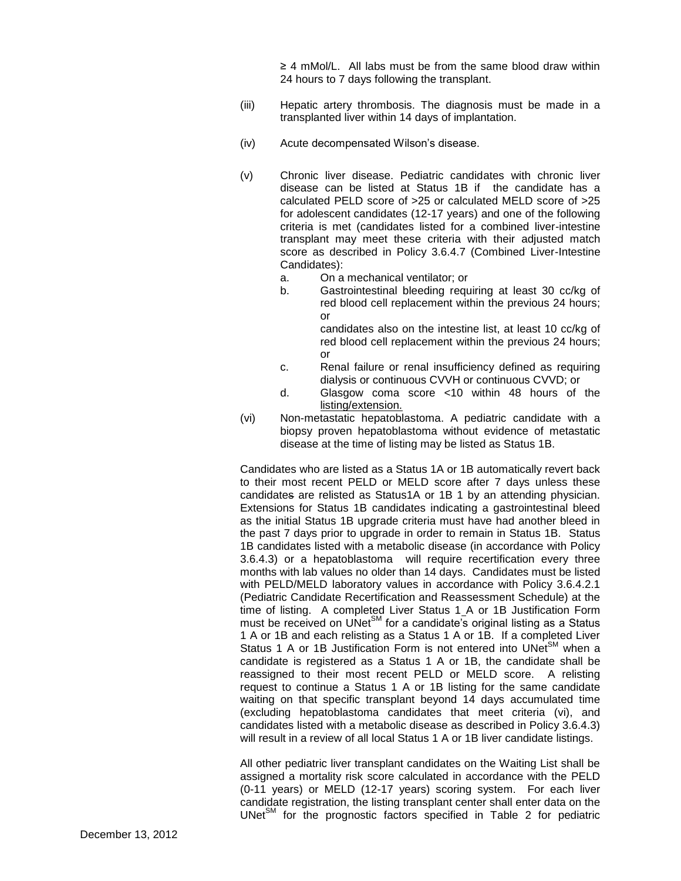≥ 4 mMol/L. All labs must be from the same blood draw within 24 hours to 7 days following the transplant.

- (iii) Hepatic artery thrombosis. The diagnosis must be made in a transplanted liver within 14 days of implantation.
- (iv) Acute decompensated Wilson's disease.
- (v) Chronic liver disease. Pediatric candidates with chronic liver disease can be listed at Status 1B if the candidate has a calculated PELD score of >25 or calculated MELD score of >25 for adolescent candidates (12-17 years) and one of the following criteria is met (candidates listed for a combined liver-intestine transplant may meet these criteria with their adjusted match score as described in Policy 3.6.4.7 (Combined Liver-Intestine Candidates):
	- a. On a mechanical ventilator; or
	- b. Gastrointestinal bleeding requiring at least 30 cc/kg of red blood cell replacement within the previous 24 hours; or

candidates also on the intestine list, at least 10 cc/kg of red blood cell replacement within the previous 24 hours; or

- c. Renal failure or renal insufficiency defined as requiring dialysis or continuous CVVH or continuous CVVD; or
- d. Glasgow coma score <10 within 48 hours of the listing/extension.
- (vi) Non-metastatic hepatoblastoma. A pediatric candidate with a biopsy proven hepatoblastoma without evidence of metastatic disease at the time of listing may be listed as Status 1B.

Candidates who are listed as a Status 1A or 1B automatically revert back to their most recent PELD or MELD score after 7 days unless these candidates are relisted as Status1A or 1B 1 by an attending physician. Extensions for Status 1B candidates indicating a gastrointestinal bleed as the initial Status 1B upgrade criteria must have had another bleed in the past 7 days prior to upgrade in order to remain in Status 1B. Status 1B candidates listed with a metabolic disease (in accordance with Policy 3.6.4.3) or a hepatoblastoma will require recertification every three months with lab values no older than 14 days. Candidates must be listed with PELD/MELD laboratory values in accordance with Policy 3.6.4.2.1 (Pediatric Candidate Recertification and Reassessment Schedule) at the time of listing. A completed Liver Status 1 A or 1B Justification Form must be received on UNet<sup>SM</sup> for a candidate's original listing as a Status must be received on UNet<sup>SM</sup> for a candidate's original listing as a Status 1 A or 1B and each relisting as a Status 1 A or 1B. If a completed Liver Status 1 A or 1B Justification Form is not entered into UNet<sup>SM</sup> when a candidate is registered as a Status 1 A or 1B, the candidate shall be reassigned to their most recent PELD or MELD score. A relisting request to continue a Status 1 A or 1B listing for the same candidate waiting on that specific transplant beyond 14 days accumulated time (excluding hepatoblastoma candidates that meet criteria (vi), and candidates listed with a metabolic disease as described in Policy 3.6.4.3) will result in a review of all local Status 1 A or 1B liver candidate listings.

All other pediatric liver transplant candidates on the Waiting List shall be assigned a mortality risk score calculated in accordance with the PELD (0-11 years) or MELD (12-17 years) scoring system. For each liver candidate registration, the listing transplant center shall enter data on the  $UNet<sup>SM</sup>$  for the prognostic factors specified in Table 2 for pediatric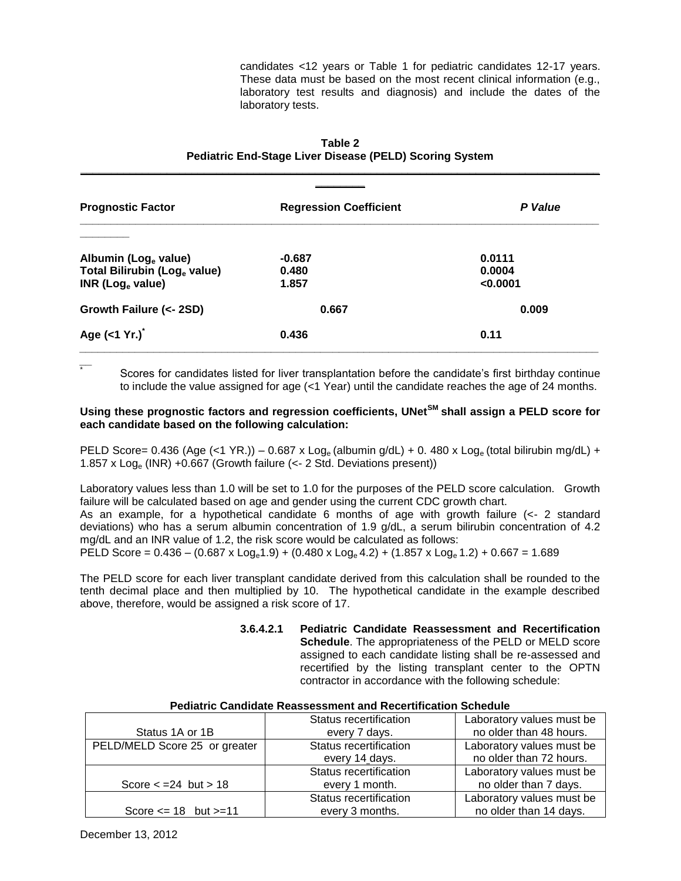candidates <12 years or Table 1 for pediatric candidates 12-17 years. These data must be based on the most recent clinical information (e.g., laboratory test results and diagnosis) and include the dates of the laboratory tests.

| <b>Prognostic Factor</b>                 | <b>Regression Coefficient</b> | P Value  |
|------------------------------------------|-------------------------------|----------|
|                                          |                               |          |
| Albumin (Log <sub>e</sub> value)         | $-0.687$                      | 0.0111   |
| Total Bilirubin (Log <sub>e</sub> value) | 0.480                         | 0.0004   |
| INR (Log $_{\rm e}$ value)               | 1.857                         | < 0.0001 |
| Growth Failure (<- 2SD)                  | 0.667                         | 0.009    |
| Age $(<1 Yr.)^2$                         | 0.436                         | 0.11     |

**Table 2 Pediatric End-Stage Liver Disease (PELD) Scoring System \_\_\_\_\_\_\_\_\_\_\_\_\_\_\_\_\_\_\_\_\_\_\_\_\_\_\_\_\_\_\_\_\_\_\_\_\_\_\_\_\_\_\_\_\_\_\_\_\_\_\_\_\_\_\_\_\_\_\_\_\_\_\_\_\_\_\_\_\_\_\_\_\_\_\_\_\_\_\_\_\_\_\_\_**

*\_\_* Scores for candidates listed for liver transplantation before the candidate's first birthday continue to include the value assigned for age (<1 Year) until the candidate reaches the age of 24 months.

## **Using these prognostic factors and regression coefficients, UNetSM shall assign a PELD score for each candidate based on the following calculation:**

PELD Score= 0.436 (Age (<1 YR.)) – 0.687 x Log<sub>e</sub> (albumin g/dL) + 0. 480 x Log<sub>e</sub> (total bilirubin mg/dL) + 1.857 x  $Log_e$  (INR) +0.667 (Growth failure ( $\lt$ - 2 Std. Deviations present))

Laboratory values less than 1.0 will be set to 1.0 for the purposes of the PELD score calculation. Growth failure will be calculated based on age and gender using the current CDC growth chart.

As an example, for a hypothetical candidate 6 months of age with growth failure (<- 2 standard deviations) who has a serum albumin concentration of 1.9 g/dL, a serum bilirubin concentration of 4.2 mg/dL and an INR value of 1.2, the risk score would be calculated as follows:

PELD Score =  $0.436 - (0.687 \times \text{Log}_0 1.9) + (0.480 \times \text{Log}_0 4.2) + (1.857 \times \text{Log}_0 1.2) + 0.667 = 1.689$ 

The PELD score for each liver transplant candidate derived from this calculation shall be rounded to the tenth decimal place and then multiplied by 10. The hypothetical candidate in the example described above, therefore, would be assigned a risk score of 17.

> **3.6.4.2.1 Pediatric Candidate Reassessment and Recertification Schedule**. The appropriateness of the PELD or MELD score assigned to each candidate listing shall be re-assessed and recertified by the listing transplant center to the OPTN contractor in accordance with the following schedule:

### **Pediatric Candidate Reassessment and Recertification Schedule**

|                                | Status recertification | Laboratory values must be |
|--------------------------------|------------------------|---------------------------|
| Status 1A or 1B                | every 7 days.          | no older than 48 hours.   |
| PELD/MELD Score 25 or greater  | Status recertification | Laboratory values must be |
|                                | every 14 days.         | no older than 72 hours.   |
|                                | Status recertification | Laboratory values must be |
| Score $\epsilon$ = 24 but > 18 | every 1 month.         | no older than 7 days.     |
|                                | Status recertification | Laboratory values must be |
| Score $\le$ 18 but $\ge$ =11   | every 3 months.        | no older than 14 days.    |

\*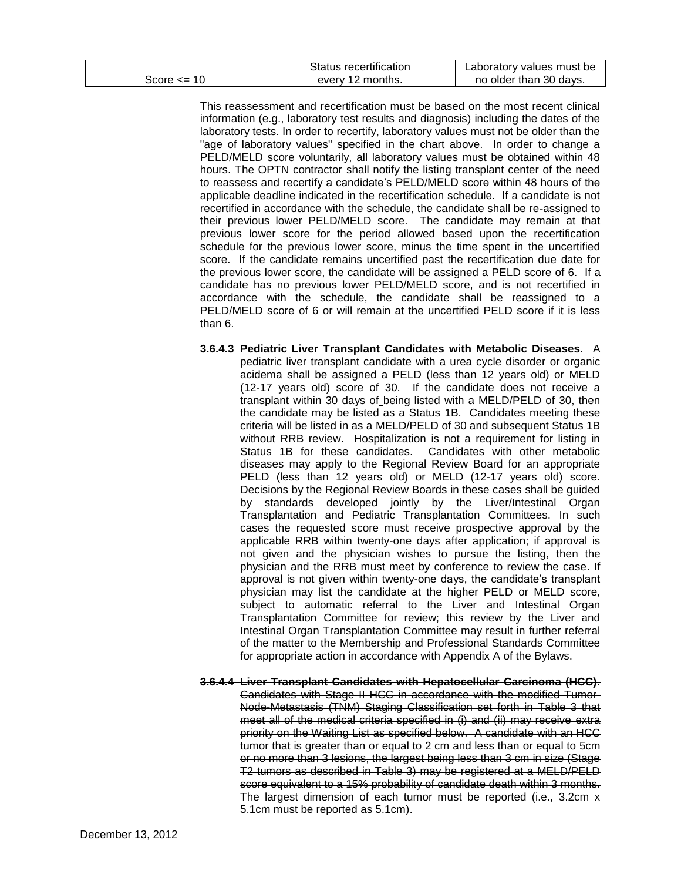|                 | Status recertification | Laboratory values must be |
|-----------------|------------------------|---------------------------|
| Score $\leq$ 10 | every 12 months.       | no older than 30 days.    |

This reassessment and recertification must be based on the most recent clinical information (e.g., laboratory test results and diagnosis) including the dates of the laboratory tests. In order to recertify, laboratory values must not be older than the "age of laboratory values" specified in the chart above. In order to change a PELD/MELD score voluntarily, all laboratory values must be obtained within 48 hours. The OPTN contractor shall notify the listing transplant center of the need to reassess and recertify a candidate's PELD/MELD score within 48 hours of the applicable deadline indicated in the recertification schedule. If a candidate is not recertified in accordance with the schedule, the candidate shall be re-assigned to their previous lower PELD/MELD score. The candidate may remain at that previous lower score for the period allowed based upon the recertification schedule for the previous lower score, minus the time spent in the uncertified score. If the candidate remains uncertified past the recertification due date for the previous lower score, the candidate will be assigned a PELD score of 6. If a candidate has no previous lower PELD/MELD score, and is not recertified in accordance with the schedule, the candidate shall be reassigned to a PELD/MELD score of 6 or will remain at the uncertified PELD score if it is less than 6.

- **3.6.4.3 Pediatric Liver Transplant Candidates with Metabolic Diseases.** A pediatric liver transplant candidate with a urea cycle disorder or organic acidema shall be assigned a PELD (less than 12 years old) or MELD (12-17 years old) score of 30. If the candidate does not receive a transplant within 30 days of being listed with a MELD/PELD of 30, then the candidate may be listed as a Status 1B. Candidates meeting these criteria will be listed in as a MELD/PELD of 30 and subsequent Status 1B without RRB review. Hospitalization is not a requirement for listing in Status 1B for these candidates. Candidates with other metabolic diseases may apply to the Regional Review Board for an appropriate PELD (less than 12 years old) or MELD (12-17 years old) score. Decisions by the Regional Review Boards in these cases shall be guided by standards developed jointly by the Liver/Intestinal Organ Transplantation and Pediatric Transplantation Committees. In such cases the requested score must receive prospective approval by the applicable RRB within twenty-one days after application; if approval is not given and the physician wishes to pursue the listing, then the physician and the RRB must meet by conference to review the case. If approval is not given within twenty-one days, the candidate's transplant physician may list the candidate at the higher PELD or MELD score, subject to automatic referral to the Liver and Intestinal Organ Transplantation Committee for review; this review by the Liver and Intestinal Organ Transplantation Committee may result in further referral of the matter to the Membership and Professional Standards Committee for appropriate action in accordance with Appendix A of the Bylaws.
- **3.6.4.4 Liver Transplant Candidates with Hepatocellular Carcinoma (HCC).** Candidates with Stage II HCC in accordance with the modified Tumor-Node-Metastasis (TNM) Staging Classification set forth in Table 3 that meet all of the medical criteria specified in (i) and (ii) may receive extra priority on the Waiting List as specified below. A candidate with an HCC tumor that is greater than or equal to 2 cm and less than or equal to 5cm or no more than 3 lesions, the largest being less than 3 cm in size (Stage T2 tumors as described in Table 3) may be registered at a MELD/PELD score equivalent to a 15% probability of candidate death within 3 months. The largest dimension of each tumor must be reported (i.e., 3.2cm x 5.1cm must be reported as 5.1cm).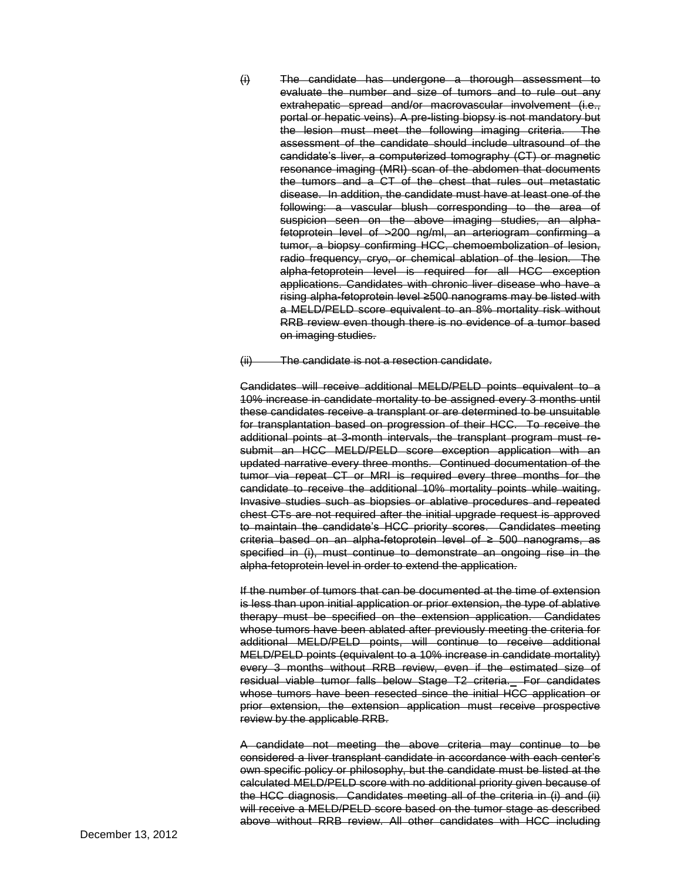(i) The candidate has undergone a thorough assessment to evaluate the number and size of tumors and to rule out any extrahepatic spread and/or macrovascular involvement (i.e., portal or hepatic veins). A pre-listing biopsy is not mandatory but the lesion must meet the following imaging criteria. The assessment of the candidate should include ultrasound of the candidate's liver, a computerized tomography (CT) or magnetic resonance imaging (MRI) scan of the abdomen that documents the tumors and a CT of the chest that rules out metastatic disease. In addition, the candidate must have at least one of the following: a vascular blush corresponding to the area of suspicion seen on the above imaging studies, an alphafetoprotein level of >200 ng/ml, an arteriogram confirming a tumor, a biopsy confirming HCC, chemoembolization of lesion, radio frequency, cryo, or chemical ablation of the lesion. The alpha-fetoprotein level is required for all HCC exception applications. Candidates with chronic liver disease who have a rising alpha-fetoprotein level ≥500 nanograms may be listed with a MELD/PELD score equivalent to an 8% mortality risk without RRB review even though there is no evidence of a tumor based on imaging studies.

(ii) The candidate is not a resection candidate.

Candidates will receive additional MELD/PELD points equivalent to a 10% increase in candidate mortality to be assigned every 3 months until these candidates receive a transplant or are determined to be unsuitable for transplantation based on progression of their HCC. To receive the additional points at 3-month intervals, the transplant program must resubmit an HCC MELD/PELD score exception application with an updated narrative every three months. Continued documentation of the tumor via repeat CT or MRI is required every three months for the candidate to receive the additional 10% mortality points while waiting. Invasive studies such as biopsies or ablative procedures and repeated chest CTs are not required after the initial upgrade request is approved to maintain the candidate's HCC priority scores. Candidates meeting criteria based on an alpha-fetoprotein level of ≥ 500 nanograms, as specified in (i), must continue to demonstrate an ongoing rise in the alpha-fetoprotein level in order to extend the application.

If the number of tumors that can be documented at the time of extension is less than upon initial application or prior extension, the type of ablative therapy must be specified on the extension application. Candidates whose tumors have been ablated after previously meeting the criteria for additional MELD/PELD points, will continue to receive additional MELD/PELD points (equivalent to a 10% increase in candidate mortality) every 3 months without RRB review, even if the estimated size of residual viable tumor falls below Stage T2 criteria. For candidates whose tumors have been resected since the initial HCC application or prior extension, the extension application must receive prospective review by the applicable RRB.

A candidate not meeting the above criteria may continue to be considered a liver transplant candidate in accordance with each center's own specific policy or philosophy, but the candidate must be listed at the calculated MELD/PELD score with no additional priority given because of the HCC diagnosis. Candidates meeting all of the criteria in (i) and (ii) will receive a MELD/PELD score based on the tumor stage as described above without RRB review. All other candidates with HCC including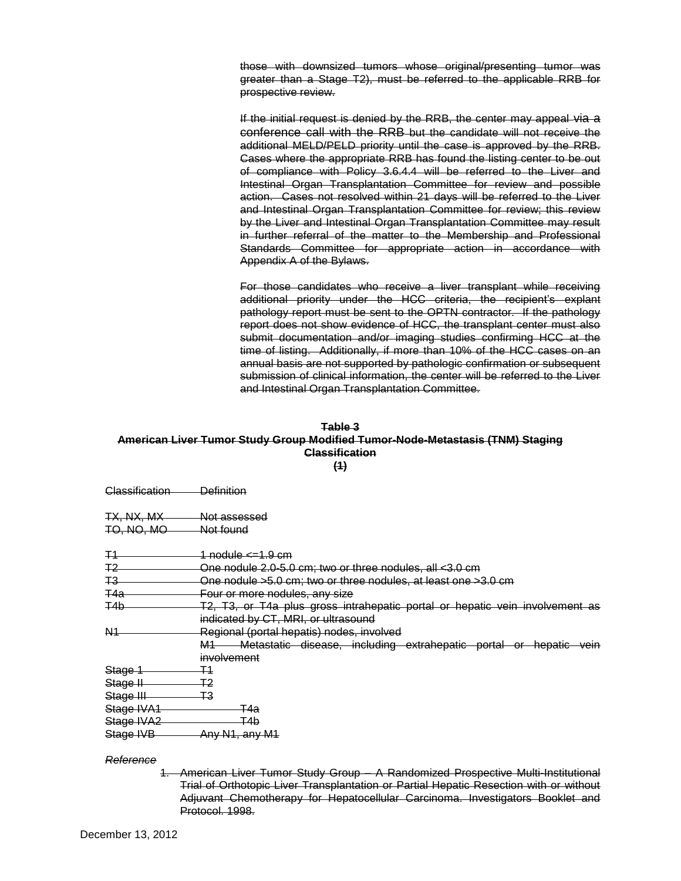those with downsized tumors whose original/presenting tumor was greater than a Stage T2), must be referred to the applicable RRB for prospective review.

If the initial request is denied by the RRB, the center may appeal via a conference call with the RRB but the candidate will not receive the additional MELD/PELD priority until the case is approved by the RRB. Cases where the appropriate RRB has found the listing center to be out of compliance with Policy 3.6.4.4 will be referred to the Liver and Intestinal Organ Transplantation Committee for review and possible action. Cases not resolved within 21 days will be referred to the Liver and Intestinal Organ Transplantation Committee for review; this review by the Liver and Intestinal Organ Transplantation Committee may result in further referral of the matter to the Membership and Professional Standards Committee for appropriate action in accordance with Appendix A of the Bylaws.

For those candidates who receive a liver transplant while receiving additional priority under the HCC criteria, the recipient's explant pathology report must be sent to the OPTN contractor. If the pathology report does not show evidence of HCC, the transplant center must also submit documentation and/or imaging studies confirming HCC at the time of listing. Additionally, if more than 10% of the HCC cases on an annual basis are not supported by pathologic confirmation or subsequent submission of clinical information, the center will be referred to the Liver and Intestinal Organ Transplantation Committee.

#### **Table 3**

## **American Liver Tumor Study Group Modified Tumor-Node-Metastasis (TNM) Staging Classification**

**(1)**

Classification Definition

TX, NX, MX, Not assessed TO, NO, MO Not found

 $T1$  nodule  $\leq 1.9$  cm

T2 One nodule 2.0-5.0 cm; two or three nodules, all <3.0 cm

T3 One nodule >5.0 cm; two or three nodules, at least one >3.0 cm

T4a Four or more nodules, any size

T4b T2, T3, or T4a plus gross intrahepatic portal or hepatic vein involvement as indicated by CT, MRI, or ultrasound

N1 Regional (portal hepatis) nodes, involved

M1 Metastatic disease, including extrahepatic portal or hepatic vein involvement

Stage 1 T1 Stage II T2 Stage III T3

Stage IVA1 T4a

Stage IVA2 T4b Stage IVB Any N1, any M1

#### *Reference*

1. American Liver Tumor Study Group – A Randomized Prospective Multi-Institutional Trial of Orthotopic Liver Transplantation or Partial Hepatic Resection with or without Adjuvant Chemotherapy for Hepatocellular Carcinoma. Investigators Booklet and Protocol. 1998.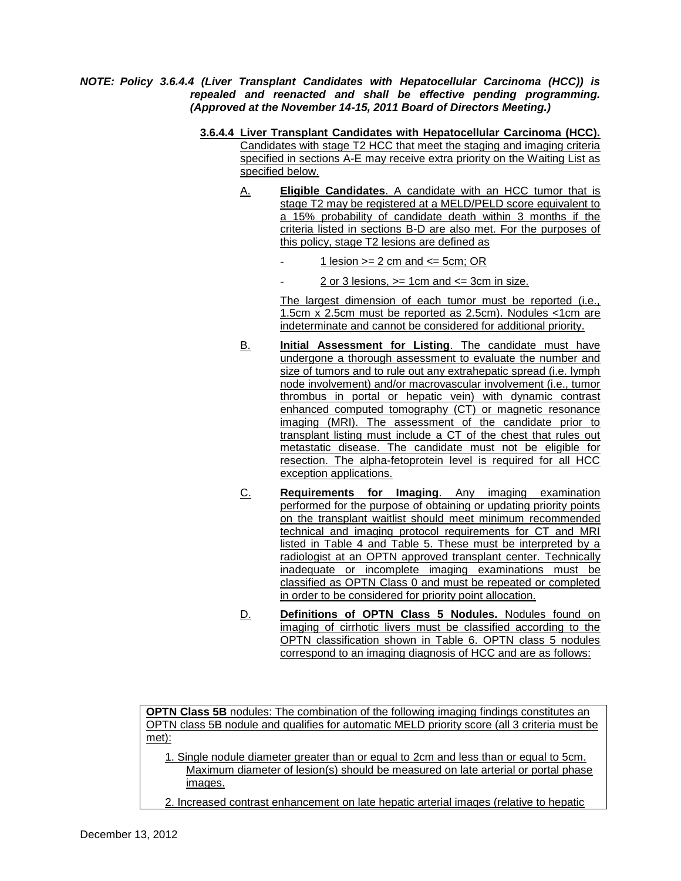*NOTE: Policy 3.6.4.4 (Liver Transplant Candidates with Hepatocellular Carcinoma (HCC)) is repealed and reenacted and shall be effective pending programming. (Approved at the November 14-15, 2011 Board of Directors Meeting.)*

- **3.6.4.4 Liver Transplant Candidates with Hepatocellular Carcinoma (HCC).** Candidates with stage T2 HCC that meet the staging and imaging criteria specified in sections A-E may receive extra priority on the Waiting List as specified below.
	- A. **Eligible Candidates**. A candidate with an HCC tumor that is stage T2 may be registered at a MELD/PELD score equivalent to a 15% probability of candidate death within 3 months if the criteria listed in sections B-D are also met. For the purposes of this policy, stage T2 lesions are defined as
		- 1 lesion  $>= 2$  cm and  $<= 5$ cm; OR
		- 2 or 3 lesions,  $>= 1$ cm and  $<= 3$ cm in size.

The largest dimension of each tumor must be reported (i.e., 1.5cm x 2.5cm must be reported as 2.5cm). Nodules <1cm are indeterminate and cannot be considered for additional priority.

- B. **Initial Assessment for Listing**. The candidate must have undergone a thorough assessment to evaluate the number and size of tumors and to rule out any extrahepatic spread (i.e. lymph node involvement) and/or macrovascular involvement (i.e., tumor thrombus in portal or hepatic vein) with dynamic contrast enhanced computed tomography (CT) or magnetic resonance imaging (MRI). The assessment of the candidate prior to transplant listing must include a CT of the chest that rules out metastatic disease. The candidate must not be eligible for resection. The alpha-fetoprotein level is required for all HCC exception applications.
- C. **Requirements for Imaging**. Any imaging examination performed for the purpose of obtaining or updating priority points on the transplant waitlist should meet minimum recommended technical and imaging protocol requirements for CT and MRI listed in Table 4 and Table 5. These must be interpreted by a radiologist at an OPTN approved transplant center. Technically inadequate or incomplete imaging examinations must be classified as OPTN Class 0 and must be repeated or completed in order to be considered for priority point allocation.
- D. **Definitions of OPTN Class 5 Nodules.** Nodules found on imaging of cirrhotic livers must be classified according to the OPTN classification shown in Table 6. OPTN class 5 nodules correspond to an imaging diagnosis of HCC and are as follows:

**OPTN Class 5B** nodules: The combination of the following imaging findings constitutes an OPTN class 5B nodule and qualifies for automatic MELD priority score (all 3 criteria must be met):

1. Single nodule diameter greater than or equal to 2cm and less than or equal to 5cm. Maximum diameter of lesion(s) should be measured on late arterial or portal phase images.

2. Increased contrast enhancement on late hepatic arterial images (relative to hepatic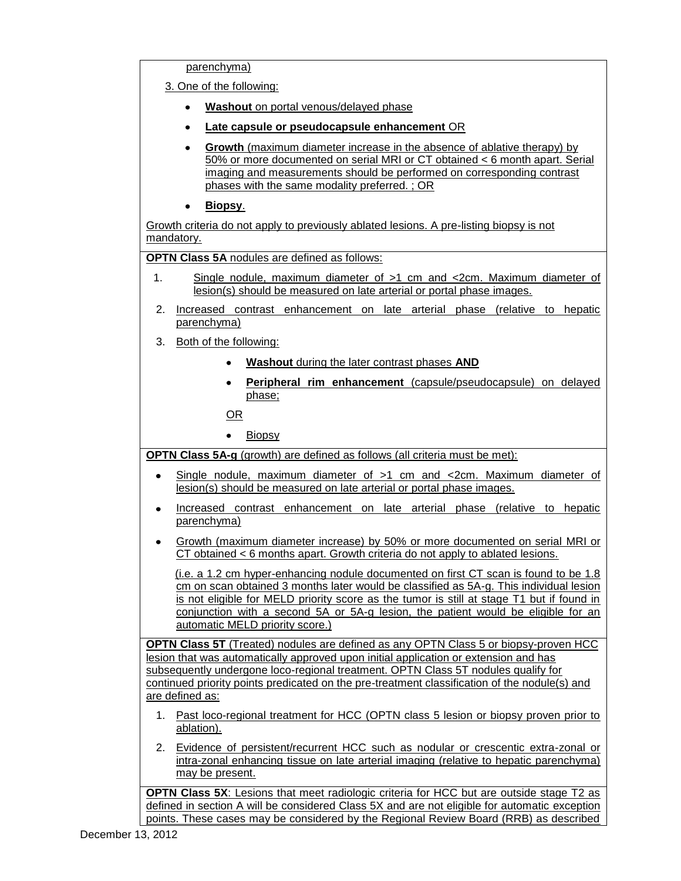parenchyma)

3. One of the following:

- **Washout** on portal venous/delayed phase
- **Late capsule or pseudocapsule enhancement** OR
- **Growth** (maximum diameter increase in the absence of ablative therapy) by  $\bullet$ 50% or more documented on serial MRI or CT obtained < 6 month apart. Serial imaging and measurements should be performed on corresponding contrast phases with the same modality preferred. ; OR
- **Biopsy**.  $\bullet$

Growth criteria do not apply to previously ablated lesions. A pre-listing biopsy is not mandatory.

**OPTN Class 5A** nodules are defined as follows:

- 1. Single nodule, maximum diameter of >1 cm and <2cm. Maximum diameter of lesion(s) should be measured on late arterial or portal phase images.
- 2. Increased contrast enhancement on late arterial phase (relative to hepatic parenchyma)
- 3. Both of the following:
	- **Washout** during the later contrast phases **AND**
	- **Peripheral rim enhancement** (capsule/pseudocapsule) on delayed  $\bullet$ phase;

OR

• Biopsy

**OPTN Class 5A-g** (growth) are defined as follows (all criteria must be met):

- Single nodule, maximum diameter of >1 cm and <2cm. Maximum diameter of  $\bullet$ lesion(s) should be measured on late arterial or portal phase images.
- Increased contrast enhancement on late arterial phase (relative to hepatic parenchyma)
- Growth (maximum diameter increase) by 50% or more documented on serial MRI or CT obtained < 6 months apart. Growth criteria do not apply to ablated lesions.

(i.e. a 1.2 cm hyper-enhancing nodule documented on first CT scan is found to be 1.8 cm on scan obtained 3 months later would be classified as 5A-g. This individual lesion is not eligible for MELD priority score as the tumor is still at stage T1 but if found in conjunction with a second 5A or 5A-g lesion, the patient would be eligible for an automatic MELD priority score.)

**OPTN Class 5T** (Treated) nodules are defined as any OPTN Class 5 or biopsy-proven HCC lesion that was automatically approved upon initial application or extension and has subsequently undergone loco-regional treatment. OPTN Class 5T nodules qualify for continued priority points predicated on the pre-treatment classification of the nodule(s) and are defined as:

- 1. Past loco-regional treatment for HCC (OPTN class 5 lesion or biopsy proven prior to ablation).
- 2. Evidence of persistent/recurrent HCC such as nodular or crescentic extra-zonal or intra-zonal enhancing tissue on late arterial imaging (relative to hepatic parenchyma) may be present.

**OPTN Class 5X**: Lesions that meet radiologic criteria for HCC but are outside stage T2 as defined in section A will be considered Class 5X and are not eligible for automatic exception points. These cases may be considered by the Regional Review Board (RRB) as described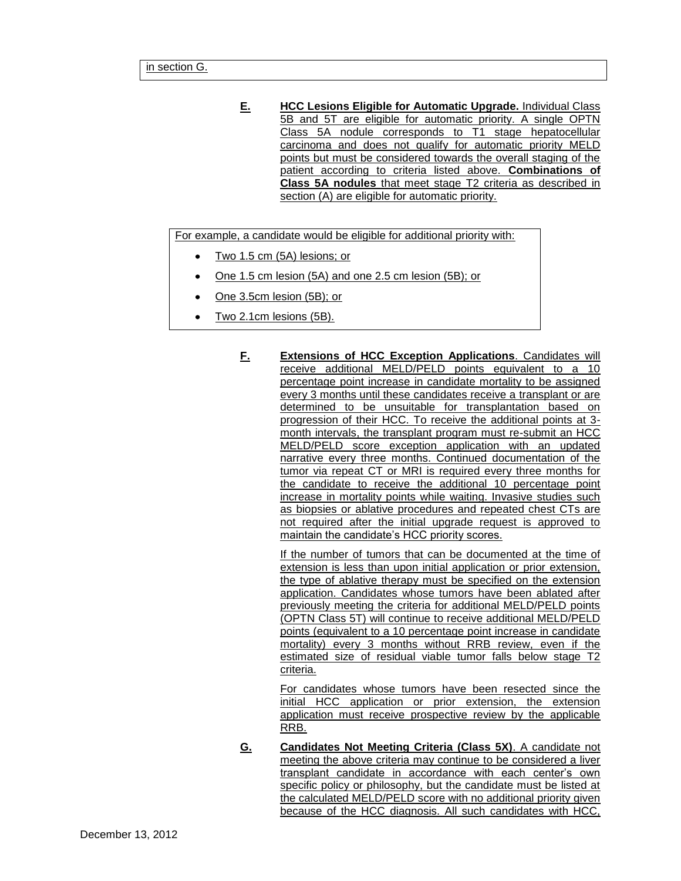**E. HCC Lesions Eligible for Automatic Upgrade.** Individual Class 5B and 5T are eligible for automatic priority. A single OPTN Class 5A nodule corresponds to T1 stage hepatocellular carcinoma and does not qualify for automatic priority MELD points but must be considered towards the overall staging of the patient according to criteria listed above. **Combinations of Class 5A nodules** that meet stage T2 criteria as described in section (A) are eligible for automatic priority.

For example, a candidate would be eligible for additional priority with:

- Two 1.5 cm (5A) lesions; or
- One 1.5 cm lesion (5A) and one 2.5 cm lesion (5B); or  $\bullet$
- One 3.5cm lesion (5B); or
- Two 2.1cm lesions (5B).
	- **F. Extensions of HCC Exception Applications**. Candidates will receive additional MELD/PELD points equivalent to a 10 percentage point increase in candidate mortality to be assigned every 3 months until these candidates receive a transplant or are determined to be unsuitable for transplantation based on progression of their HCC. To receive the additional points at 3 month intervals, the transplant program must re-submit an HCC MELD/PELD score exception application with an updated narrative every three months. Continued documentation of the tumor via repeat CT or MRI is required every three months for the candidate to receive the additional 10 percentage point increase in mortality points while waiting. Invasive studies such as biopsies or ablative procedures and repeated chest CTs are not required after the initial upgrade request is approved to maintain the candidate's HCC priority scores.

If the number of tumors that can be documented at the time of extension is less than upon initial application or prior extension, the type of ablative therapy must be specified on the extension application. Candidates whose tumors have been ablated after previously meeting the criteria for additional MELD/PELD points (OPTN Class 5T) will continue to receive additional MELD/PELD points (equivalent to a 10 percentage point increase in candidate mortality) every 3 months without RRB review, even if the estimated size of residual viable tumor falls below stage T2 criteria.

For candidates whose tumors have been resected since the initial HCC application or prior extension, the extension application must receive prospective review by the applicable RRB.

**G. Candidates Not Meeting Criteria (Class 5X)**. A candidate not meeting the above criteria may continue to be considered a liver transplant candidate in accordance with each center's own specific policy or philosophy, but the candidate must be listed at the calculated MELD/PELD score with no additional priority given because of the HCC diagnosis. All such candidates with HCC,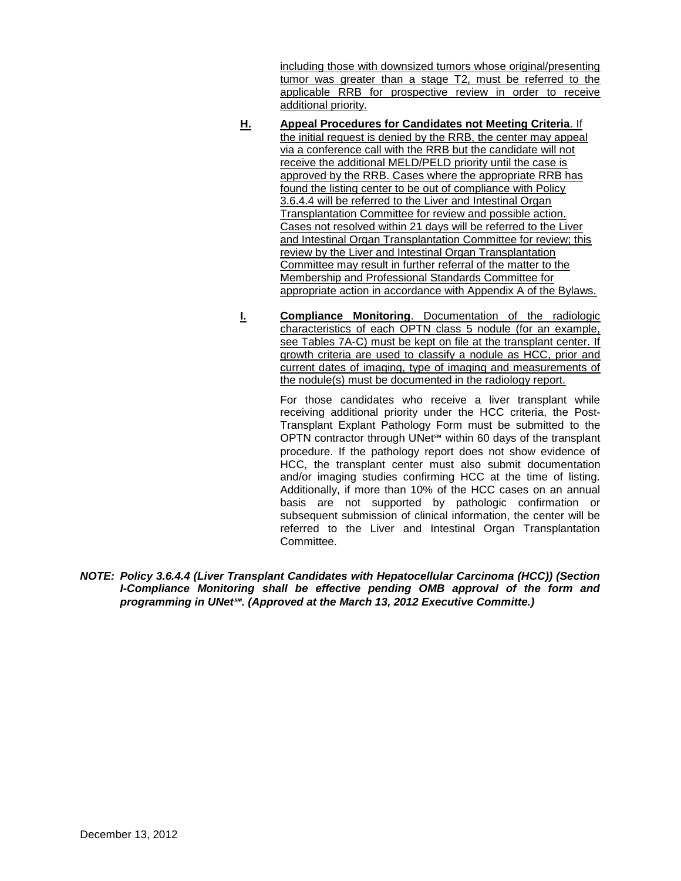including those with downsized tumors whose original/presenting tumor was greater than a stage T2, must be referred to the applicable RRB for prospective review in order to receive additional priority.

- **H. Appeal Procedures for Candidates not Meeting Criteria**. If the initial request is denied by the RRB, the center may appeal via a conference call with the RRB but the candidate will not receive the additional MELD/PELD priority until the case is approved by the RRB. Cases where the appropriate RRB has found the listing center to be out of compliance with Policy 3.6.4.4 will be referred to the Liver and Intestinal Organ Transplantation Committee for review and possible action. Cases not resolved within 21 days will be referred to the Liver and Intestinal Organ Transplantation Committee for review; this review by the Liver and Intestinal Organ Transplantation Committee may result in further referral of the matter to the Membership and Professional Standards Committee for appropriate action in accordance with Appendix A of the Bylaws.
- **I. Compliance Monitoring**. Documentation of the radiologic characteristics of each OPTN class 5 nodule (for an example, see Tables 7A-C) must be kept on file at the transplant center. If growth criteria are used to classify a nodule as HCC, prior and current dates of imaging, type of imaging and measurements of the nodule(s) must be documented in the radiology report.

For those candidates who receive a liver transplant while receiving additional priority under the HCC criteria, the Post-Transplant Explant Pathology Form must be submitted to the OPTN contractor through UNet℠ within 60 days of the transplant procedure. If the pathology report does not show evidence of HCC, the transplant center must also submit documentation and/or imaging studies confirming HCC at the time of listing. Additionally, if more than 10% of the HCC cases on an annual basis are not supported by pathologic confirmation or subsequent submission of clinical information, the center will be referred to the Liver and Intestinal Organ Transplantation **Committee.** 

*NOTE: Policy 3.6.4.4 (Liver Transplant Candidates with Hepatocellular Carcinoma (HCC)) (Section I-Compliance Monitoring shall be effective pending OMB approval of the form and programming in UNet℠. (Approved at the March 13, 2012 Executive Committe.)*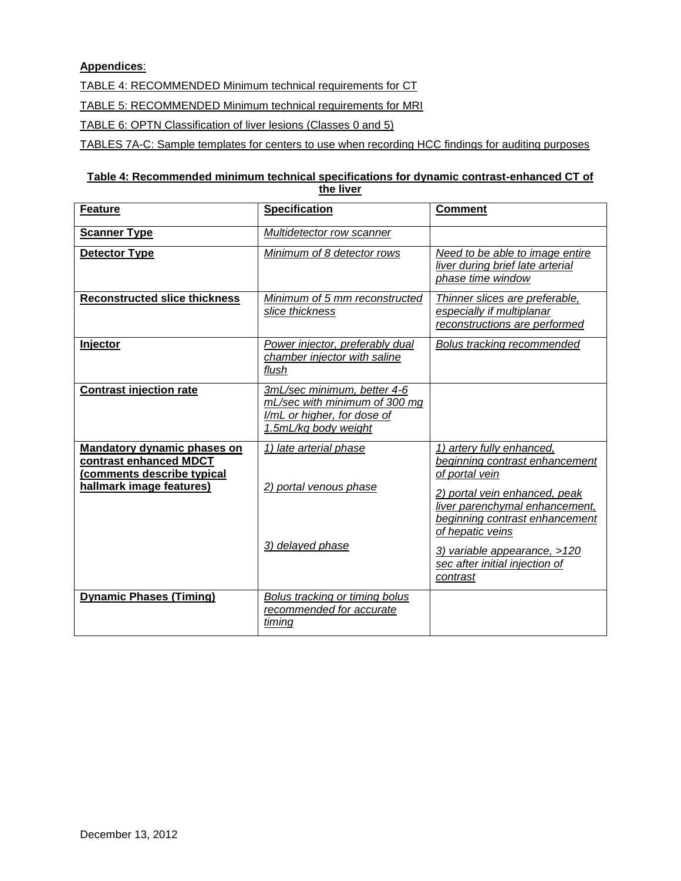# **Appendices**:

TABLE 4: RECOMMENDED Minimum technical requirements for CT

TABLE 5: RECOMMENDED Minimum technical requirements for MRI

TABLE 6: OPTN Classification of liver lesions (Classes 0 and 5)

TABLES 7A-C: Sample templates for centers to use when recording HCC findings for auditing purposes

## **Table 4: Recommended minimum technical specifications for dynamic contrast-enhanced CT of the liver**

| <b>Feature</b>                                                                                                  | <b>Specification</b>                                                                                                | <b>Comment</b>                                                                                                                                                                                                                                                                       |
|-----------------------------------------------------------------------------------------------------------------|---------------------------------------------------------------------------------------------------------------------|--------------------------------------------------------------------------------------------------------------------------------------------------------------------------------------------------------------------------------------------------------------------------------------|
| <b>Scanner Type</b>                                                                                             | Multidetector row scanner                                                                                           |                                                                                                                                                                                                                                                                                      |
| <b>Detector Type</b>                                                                                            | Minimum of 8 detector rows                                                                                          | Need to be able to image entire<br>liver during brief late arterial<br>phase time window                                                                                                                                                                                             |
| <b>Reconstructed slice thickness</b>                                                                            | Minimum of 5 mm reconstructed<br>slice thickness                                                                    | Thinner slices are preferable,<br>especially if multiplanar<br>reconstructions are performed                                                                                                                                                                                         |
| Injector                                                                                                        | Power injector, preferably dual<br>chamber injector with saline<br>flush                                            | Bolus tracking recommended                                                                                                                                                                                                                                                           |
| <b>Contrast injection rate</b>                                                                                  | 3mL/sec minimum, better 4-6<br>mL/sec with minimum of 300 mg<br>I/mL or higher, for dose of<br>1.5mL/kg body weight |                                                                                                                                                                                                                                                                                      |
| Mandatory dynamic phases on<br>contrast enhanced MDCT<br>(comments describe typical<br>hallmark image features) | 1) late arterial phase<br>2) portal venous phase<br>3) delayed phase                                                | 1) artery fully enhanced,<br>beginning contrast enhancement<br>of portal vein<br>2) portal vein enhanced, peak<br>liver parenchymal enhancement,<br>beginning contrast enhancement<br>of hepatic veins<br>3) variable appearance, >120<br>sec after initial injection of<br>contrast |
| <b>Dynamic Phases (Timing)</b>                                                                                  | Bolus tracking or timing bolus<br>recommended for accurate<br>timing                                                |                                                                                                                                                                                                                                                                                      |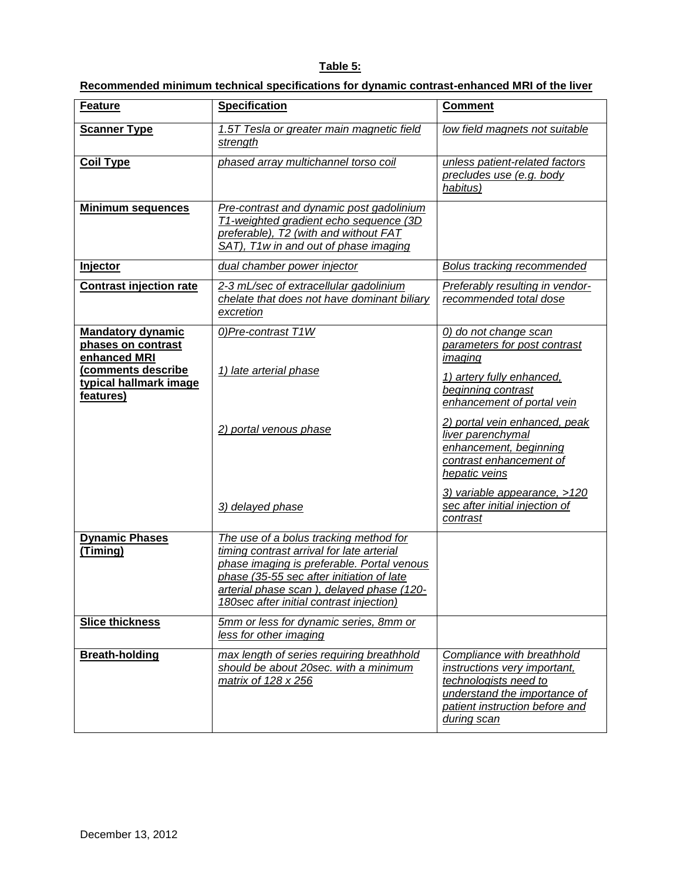# **Table 5:**

| Recommended minimum technical specifications for dynamic contrast-enhanced MRI of the liver |
|---------------------------------------------------------------------------------------------|
|---------------------------------------------------------------------------------------------|

| <b>Feature</b>                                                 | <b>Specification</b>                                                                                                                                                                                                                                                    | <b>Comment</b>                                                                                                                                                       |
|----------------------------------------------------------------|-------------------------------------------------------------------------------------------------------------------------------------------------------------------------------------------------------------------------------------------------------------------------|----------------------------------------------------------------------------------------------------------------------------------------------------------------------|
| <b>Scanner Type</b>                                            | 1.5T Tesla or greater main magnetic field<br>strength                                                                                                                                                                                                                   | low field magnets not suitable                                                                                                                                       |
| <b>Coil Type</b>                                               | phased array multichannel torso coil                                                                                                                                                                                                                                    | unless patient-related factors<br>precludes use (e.g. body<br>habitus)                                                                                               |
| <u>Minimum sequences</u>                                       | Pre-contrast and dynamic post gadolinium<br>T1-weighted gradient echo sequence (3D<br>preferable), T2 (with and without FAT<br>SAT), T1w in and out of phase imaging                                                                                                    |                                                                                                                                                                      |
| Injector                                                       | dual chamber power injector                                                                                                                                                                                                                                             | Bolus tracking recommended                                                                                                                                           |
| <b>Contrast injection rate</b>                                 | 2-3 mL/sec of extracellular gadolinium<br>chelate that does not have dominant biliary<br>excretion                                                                                                                                                                      | Preferably resulting in vendor-<br>recommended total dose                                                                                                            |
| <b>Mandatory dynamic</b><br>phases on contrast<br>enhanced MRI | 0) Pre-contrast T1W                                                                                                                                                                                                                                                     | 0) do not change scan<br>parameters for post contrast<br>imaging                                                                                                     |
| (comments describe<br>typical hallmark image<br>features)      | 1) late arterial phase                                                                                                                                                                                                                                                  | 1) artery fully enhanced,<br>beginning contrast<br>enhancement of portal vein                                                                                        |
|                                                                | 2) portal venous phase                                                                                                                                                                                                                                                  | 2) portal vein enhanced, peak<br>liver parenchymal<br>enhancement, beginning<br>contrast enhancement of<br>hepatic veins                                             |
|                                                                | 3) delayed phase                                                                                                                                                                                                                                                        | 3) variable appearance, >120<br>sec after initial injection of<br>contrast                                                                                           |
| <b>Dynamic Phases</b><br>(Timing)                              | The use of a bolus tracking method for<br>timing contrast arrival for late arterial<br>phase imaging is preferable. Portal venous<br>phase (35-55 sec after initiation of late<br>arterial phase scan), delayed phase (120-<br>180sec after initial contrast injection) |                                                                                                                                                                      |
| <b>Slice thickness</b>                                         | 5mm or less for dynamic series, 8mm or<br>less for other imaging                                                                                                                                                                                                        |                                                                                                                                                                      |
| <b>Breath-holding</b>                                          | max length of series requiring breathhold<br>should be about 20sec. with a minimum<br>matrix of 128 x 256                                                                                                                                                               | Compliance with breathhold<br>instructions very important,<br>technologists need to<br>understand the importance of<br>patient instruction before and<br>during scan |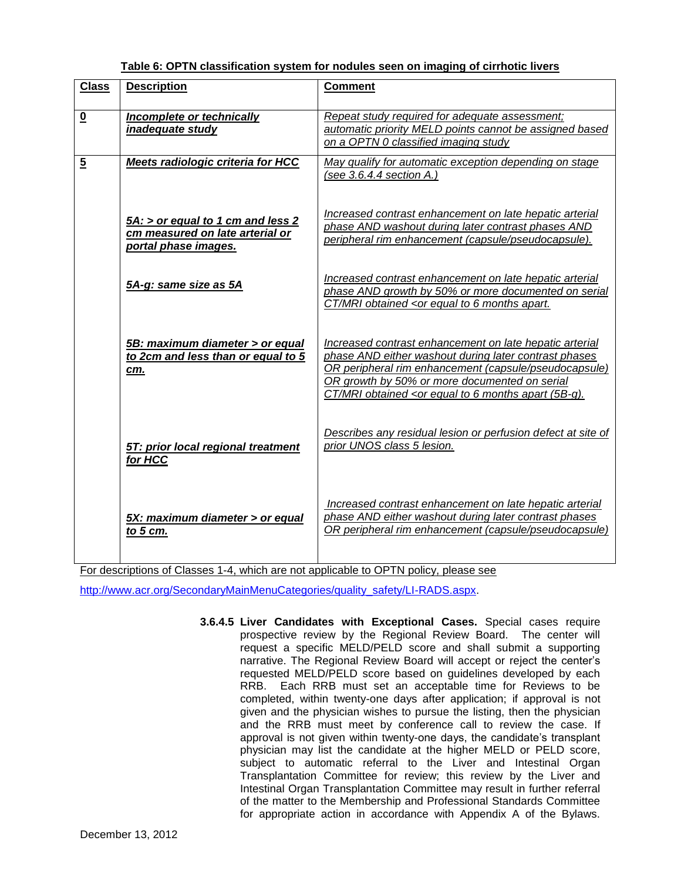| Table 6: OPTN classification system for nodules seen on imaging of cirrhotic livers |
|-------------------------------------------------------------------------------------|
|-------------------------------------------------------------------------------------|

| <b>Class</b>             | <b>Description</b>                                                                           | <b>Comment</b>                                                                                                                                                                                                                                                                                                   |
|--------------------------|----------------------------------------------------------------------------------------------|------------------------------------------------------------------------------------------------------------------------------------------------------------------------------------------------------------------------------------------------------------------------------------------------------------------|
| $\underline{\mathbf{0}}$ | Incomplete or technically<br><i>inadequate study</i>                                         | Repeat study required for adequate assessment;<br>automatic priority MELD points cannot be assigned based<br>on a OPTN 0 classified imaging study                                                                                                                                                                |
| $\overline{5}$           | Meets radiologic criteria for HCC                                                            | May qualify for automatic exception depending on stage<br>(see $3.6.4.4$ section A.)                                                                                                                                                                                                                             |
|                          | 5A: > or equal to 1 cm and less 2<br>cm measured on late arterial or<br>portal phase images. | Increased contrast enhancement on late hepatic arterial<br>phase AND washout during later contrast phases AND<br>peripheral rim enhancement (capsule/pseudocapsule).                                                                                                                                             |
|                          | 5A-g: same size as 5A                                                                        | Increased contrast enhancement on late hepatic arterial<br>phase AND growth by 50% or more documented on serial<br>CT/MRI obtained <or 6="" apart.<="" equal="" months="" th="" to=""></or>                                                                                                                      |
|                          | 5B: maximum diameter > or equal<br>to 2cm and less than or equal to 5<br>cm.                 | Increased contrast enhancement on late hepatic arterial<br>phase AND either washout during later contrast phases<br>OR peripheral rim enhancement (capsule/pseudocapsule)<br>OR growth by 50% or more documented on serial<br>CT/MRI obtained <or (5b-g).<="" 6="" apart="" equal="" months="" th="" to=""></or> |
|                          | 5T: prior local regional treatment<br>for HCC                                                | Describes any residual lesion or perfusion defect at site of<br>prior UNOS class 5 lesion.                                                                                                                                                                                                                       |
|                          | 5X: maximum diameter > or equal<br>to $5 \, \text{cm}$ .                                     | Increased contrast enhancement on late hepatic arterial<br>phase AND either washout during later contrast phases<br>OR peripheral rim enhancement (capsule/pseudocapsule)                                                                                                                                        |

For descriptions of Classes 1-4, which are not applicable to OPTN policy, please see

[http://www.acr.org/SecondaryMainMenuCategories/quality\\_safety/LI-RADS.aspx.](http://www.acr.org/SecondaryMainMenuCategories/quality_safety/LI-RADS.aspx) 

**3.6.4.5 Liver Candidates with Exceptional Cases.** Special cases require prospective review by the Regional Review Board. The center will request a specific MELD/PELD score and shall submit a supporting narrative. The Regional Review Board will accept or reject the center's requested MELD/PELD score based on guidelines developed by each RRB. Each RRB must set an acceptable time for Reviews to be completed, within twenty-one days after application; if approval is not given and the physician wishes to pursue the listing, then the physician and the RRB must meet by conference call to review the case. If approval is not given within twenty-one days, the candidate's transplant physician may list the candidate at the higher MELD or PELD score, subject to automatic referral to the Liver and Intestinal Organ Transplantation Committee for review; this review by the Liver and Intestinal Organ Transplantation Committee may result in further referral of the matter to the Membership and Professional Standards Committee for appropriate action in accordance with Appendix A of the Bylaws.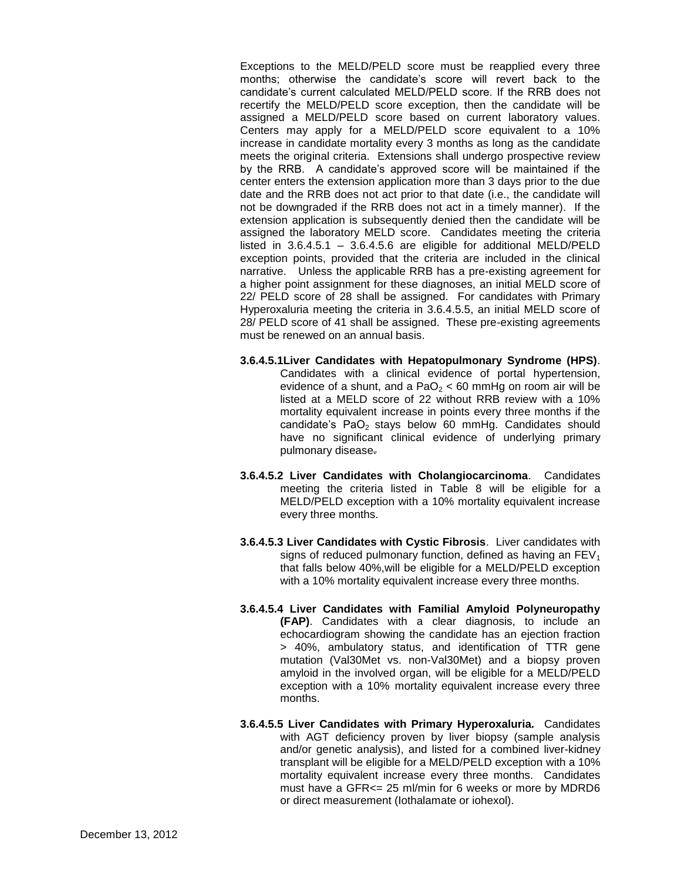Exceptions to the MELD/PELD score must be reapplied every three months; otherwise the candidate's score will revert back to the candidate's current calculated MELD/PELD score. If the RRB does not recertify the MELD/PELD score exception, then the candidate will be assigned a MELD/PELD score based on current laboratory values. Centers may apply for a MELD/PELD score equivalent to a 10% increase in candidate mortality every 3 months as long as the candidate meets the original criteria. Extensions shall undergo prospective review by the RRB. A candidate's approved score will be maintained if the center enters the extension application more than 3 days prior to the due date and the RRB does not act prior to that date (i.e., the candidate will not be downgraded if the RRB does not act in a timely manner). If the extension application is subsequently denied then the candidate will be assigned the laboratory MELD score. Candidates meeting the criteria listed in  $3.6.4.5.1 - 3.6.4.5.6$  are eligible for additional MELD/PELD exception points, provided that the criteria are included in the clinical narrative. Unless the applicable RRB has a pre-existing agreement for a higher point assignment for these diagnoses, an initial MELD score of 22/ PELD score of 28 shall be assigned. For candidates with Primary Hyperoxaluria meeting the criteria in 3.6.4.5.5, an initial MELD score of 28/ PELD score of 41 shall be assigned. These pre-existing agreements must be renewed on an annual basis.

- **3.6.4.5.1Liver Candidates with Hepatopulmonary Syndrome (HPS)**. Candidates with a clinical evidence of portal hypertension, evidence of a shunt, and a PaO<sub>2</sub> < 60 mmHg on room air will be listed at a MELD score of 22 without RRB review with a 10% mortality equivalent increase in points every three months if the candidate's  $PaO<sub>2</sub>$  stays below 60 mmHg. Candidates should have no significant clinical evidence of underlying primary pulmonary disease.
- **3.6.4.5.2 Liver Candidates with Cholangiocarcinoma**. Candidates meeting the criteria listed in Table 8 will be eligible for a MELD/PELD exception with a 10% mortality equivalent increase every three months.
- **3.6.4.5.3 Liver Candidates with Cystic Fibrosis**. Liver candidates with signs of reduced pulmonary function, defined as having an  $FEV<sub>1</sub>$ that falls below 40%,will be eligible for a MELD/PELD exception with a 10% mortality equivalent increase every three months.
- **3.6.4.5.4 Liver Candidates with Familial Amyloid Polyneuropathy (FAP)**. Candidates with a clear diagnosis, to include an echocardiogram showing the candidate has an ejection fraction > 40%, ambulatory status, and identification of TTR gene mutation (Val30Met vs. non-Val30Met) and a biopsy proven amyloid in the involved organ, will be eligible for a MELD/PELD exception with a 10% mortality equivalent increase every three months.
- **3.6.4.5.5 Liver Candidates with Primary Hyperoxaluria.** Candidates with AGT deficiency proven by liver biopsy (sample analysis and/or genetic analysis), and listed for a combined liver-kidney transplant will be eligible for a MELD/PELD exception with a 10% mortality equivalent increase every three months. Candidates must have a GFR<= 25 ml/min for 6 weeks or more by MDRD6 or direct measurement (Iothalamate or iohexol).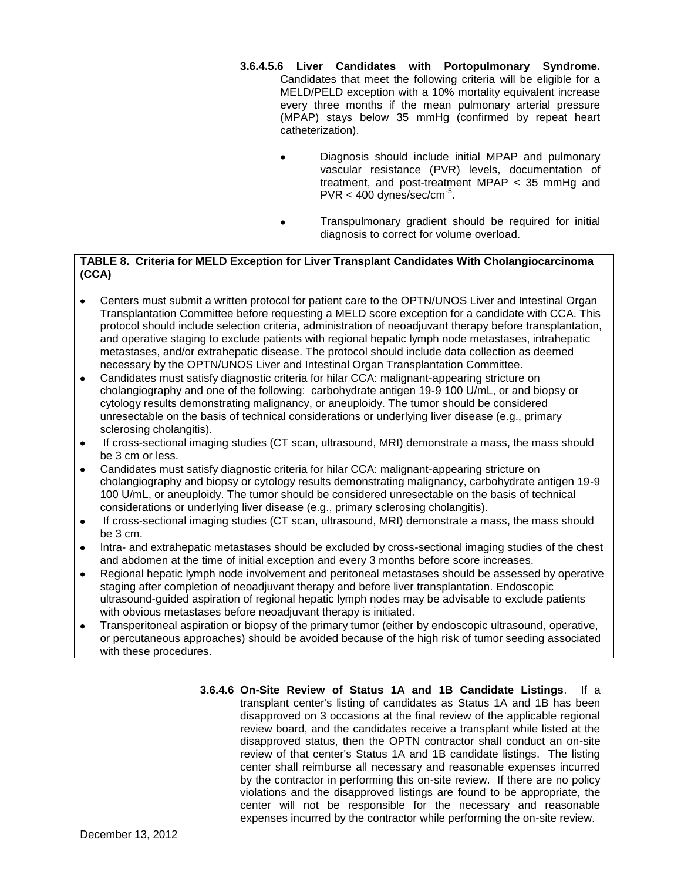- **3.6.4.5.6 Liver Candidates with Portopulmonary Syndrome.** Candidates that meet the following criteria will be eligible for a MELD/PELD exception with a 10% mortality equivalent increase every three months if the mean pulmonary arterial pressure (MPAP) stays below 35 mmHg (confirmed by repeat heart catheterization).
	- Diagnosis should include initial MPAP and pulmonary vascular resistance (PVR) levels, documentation of treatment, and post-treatment MPAP < 35 mmHg and  $PVR < 400$  dynes/sec/cm<sup>-5</sup>.
	- Transpulmonary gradient should be required for initial diagnosis to correct for volume overload.

## **TABLE 8. Criteria for MELD Exception for Liver Transplant Candidates With Cholangiocarcinoma (CCA)**

- Centers must submit a written protocol for patient care to the OPTN/UNOS Liver and Intestinal Organ  $\bullet$ Transplantation Committee before requesting a MELD score exception for a candidate with CCA. This protocol should include selection criteria, administration of neoadjuvant therapy before transplantation, and operative staging to exclude patients with regional hepatic lymph node metastases, intrahepatic metastases, and/or extrahepatic disease. The protocol should include data collection as deemed necessary by the OPTN/UNOS Liver and Intestinal Organ Transplantation Committee.
- Candidates must satisfy diagnostic criteria for hilar CCA: malignant-appearing stricture on cholangiography and one of the following: carbohydrate antigen 19-9 100 U/mL, or and biopsy or cytology results demonstrating malignancy, or aneuploidy. The tumor should be considered unresectable on the basis of technical considerations or underlying liver disease (e.g., primary sclerosing cholangitis).
- If cross-sectional imaging studies (CT scan, ultrasound, MRI) demonstrate a mass, the mass should be 3 cm or less.
- Candidates must satisfy diagnostic criteria for hilar CCA: malignant-appearing stricture on  $\bullet$ cholangiography and biopsy or cytology results demonstrating malignancy, carbohydrate antigen 19-9 100 U/mL, or aneuploidy. The tumor should be considered unresectable on the basis of technical considerations or underlying liver disease (e.g., primary sclerosing cholangitis).
- If cross-sectional imaging studies (CT scan, ultrasound, MRI) demonstrate a mass, the mass should  $\bullet$ be 3 cm.
- Intra- and extrahepatic metastases should be excluded by cross-sectional imaging studies of the chest and abdomen at the time of initial exception and every 3 months before score increases.
- Regional hepatic lymph node involvement and peritoneal metastases should be assessed by operative  $\bullet$ staging after completion of neoadjuvant therapy and before liver transplantation. Endoscopic ultrasound-guided aspiration of regional hepatic lymph nodes may be advisable to exclude patients with obvious metastases before neoadjuvant therapy is initiated.
- Transperitoneal aspiration or biopsy of the primary tumor (either by endoscopic ultrasound, operative,  $\bullet$ or percutaneous approaches) should be avoided because of the high risk of tumor seeding associated with these procedures.
	- **3.6.4.6 On-Site Review of Status 1A and 1B Candidate Listings**. If a transplant center's listing of candidates as Status 1A and 1B has been disapproved on 3 occasions at the final review of the applicable regional review board, and the candidates receive a transplant while listed at the disapproved status, then the OPTN contractor shall conduct an on-site review of that center's Status 1A and 1B candidate listings. The listing center shall reimburse all necessary and reasonable expenses incurred by the contractor in performing this on-site review. If there are no policy violations and the disapproved listings are found to be appropriate, the center will not be responsible for the necessary and reasonable expenses incurred by the contractor while performing the on-site review.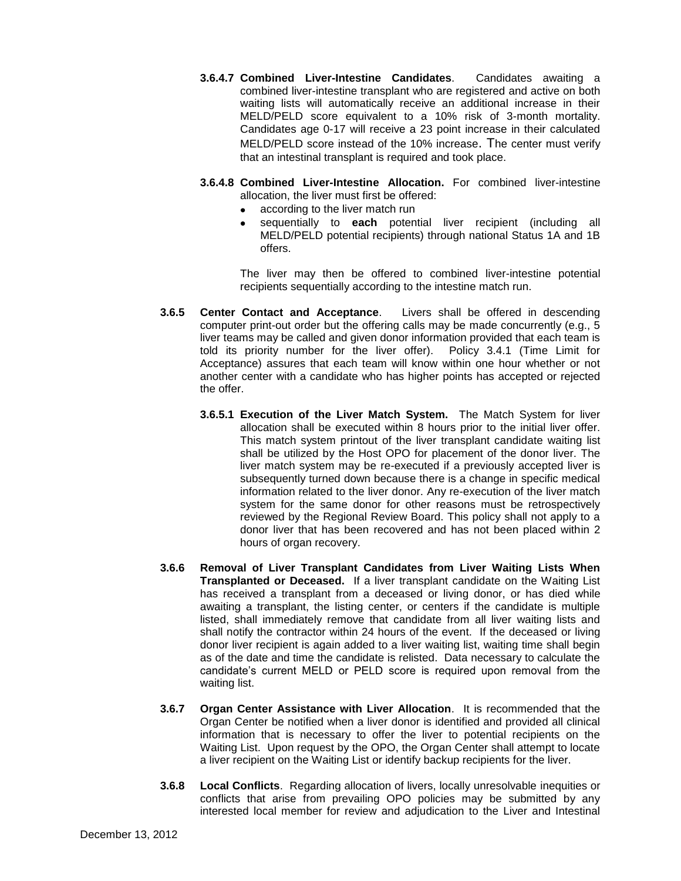- **3.6.4.7 Combined Liver-Intestine Candidates**. Candidates awaiting a combined liver-intestine transplant who are registered and active on both waiting lists will automatically receive an additional increase in their MELD/PELD score equivalent to a 10% risk of 3-month mortality. Candidates age 0-17 will receive a 23 point increase in their calculated MELD/PELD score instead of the 10% increase. The center must verify that an intestinal transplant is required and took place.
- **3.6.4.8 Combined Liver-Intestine Allocation.** For combined liver-intestine allocation, the liver must first be offered:
	- according to the liver match run
	- sequentially to **each** potential liver recipient (including all MELD/PELD potential recipients) through national Status 1A and 1B offers.

The liver may then be offered to combined liver-intestine potential recipients sequentially according to the intestine match run.

- **3.6.5 Center Contact and Acceptance**. Livers shall be offered in descending computer print-out order but the offering calls may be made concurrently (e.g., 5 liver teams may be called and given donor information provided that each team is told its priority number for the liver offer). Policy 3.4.1 (Time Limit for Acceptance) assures that each team will know within one hour whether or not another center with a candidate who has higher points has accepted or rejected the offer.
	- **3.6.5.1 Execution of the Liver Match System.** The Match System for liver allocation shall be executed within 8 hours prior to the initial liver offer. This match system printout of the liver transplant candidate waiting list shall be utilized by the Host OPO for placement of the donor liver. The liver match system may be re-executed if a previously accepted liver is subsequently turned down because there is a change in specific medical information related to the liver donor. Any re-execution of the liver match system for the same donor for other reasons must be retrospectively reviewed by the Regional Review Board. This policy shall not apply to a donor liver that has been recovered and has not been placed within 2 hours of organ recovery.
- **3.6.6 Removal of Liver Transplant Candidates from Liver Waiting Lists When Transplanted or Deceased.** If a liver transplant candidate on the Waiting List has received a transplant from a deceased or living donor, or has died while awaiting a transplant, the listing center, or centers if the candidate is multiple listed, shall immediately remove that candidate from all liver waiting lists and shall notify the contractor within 24 hours of the event. If the deceased or living donor liver recipient is again added to a liver waiting list, waiting time shall begin as of the date and time the candidate is relisted. Data necessary to calculate the candidate's current MELD or PELD score is required upon removal from the waiting list.
- **3.6.7 Organ Center Assistance with Liver Allocation**. It is recommended that the Organ Center be notified when a liver donor is identified and provided all clinical information that is necessary to offer the liver to potential recipients on the Waiting List. Upon request by the OPO, the Organ Center shall attempt to locate a liver recipient on the Waiting List or identify backup recipients for the liver.
- **3.6.8 Local Conflicts**. Regarding allocation of livers, locally unresolvable inequities or conflicts that arise from prevailing OPO policies may be submitted by any interested local member for review and adjudication to the Liver and Intestinal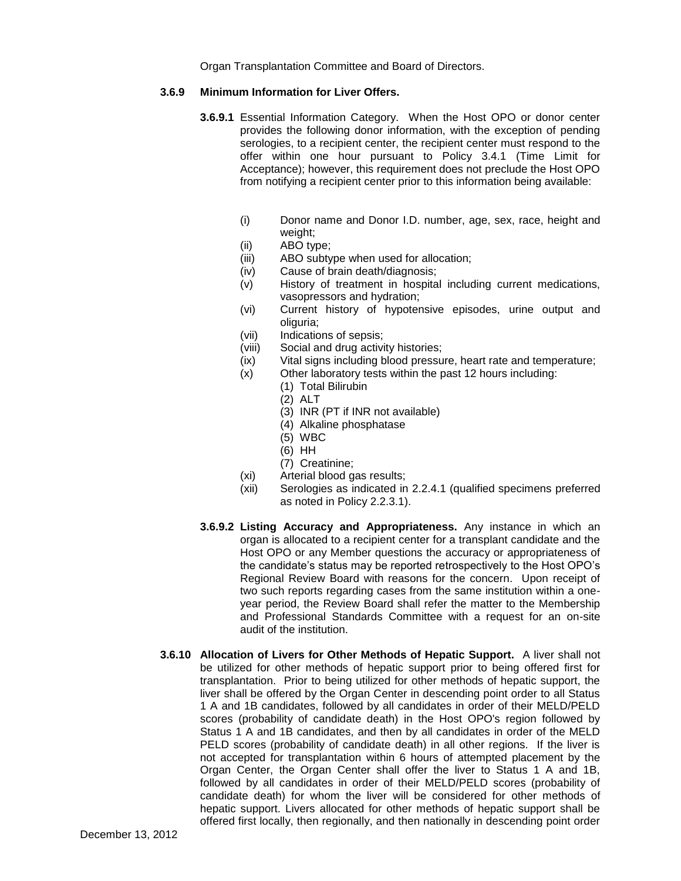Organ Transplantation Committee and Board of Directors.

## **3.6.9 Minimum Information for Liver Offers.**

- **3.6.9.1** Essential Information Category. When the Host OPO or donor center provides the following donor information, with the exception of pending serologies, to a recipient center, the recipient center must respond to the offer within one hour pursuant to Policy 3.4.1 (Time Limit for Acceptance); however, this requirement does not preclude the Host OPO from notifying a recipient center prior to this information being available:
	- (i) Donor name and Donor I.D. number, age, sex, race, height and weight;
	- (ii) ABO type;
	- (iii) ABO subtype when used for allocation;
	- (iv) Cause of brain death/diagnosis;
	- (v) History of treatment in hospital including current medications, vasopressors and hydration;
	- (vi) Current history of hypotensive episodes, urine output and oliguria;
	- (vii) Indications of sepsis;
	- (viii) Social and drug activity histories;
	- (ix) Vital signs including blood pressure, heart rate and temperature;
	- (x) Other laboratory tests within the past 12 hours including:
		- (1) Total Bilirubin
		- (2) ALT
		- (3) INR (PT if INR not available)
		- (4) Alkaline phosphatase
		- (5) WBC
		- (6) HH
		- (7) Creatinine;
	- (xi) Arterial blood gas results;
	- (xii) Serologies as indicated in 2.2.4.1 (qualified specimens preferred as noted in Policy 2.2.3.1).
- **3.6.9.2 Listing Accuracy and Appropriateness.** Any instance in which an organ is allocated to a recipient center for a transplant candidate and the Host OPO or any Member questions the accuracy or appropriateness of the candidate's status may be reported retrospectively to the Host OPO's Regional Review Board with reasons for the concern. Upon receipt of two such reports regarding cases from the same institution within a oneyear period, the Review Board shall refer the matter to the Membership and Professional Standards Committee with a request for an on-site audit of the institution.
- **3.6.10 Allocation of Livers for Other Methods of Hepatic Support.** A liver shall not be utilized for other methods of hepatic support prior to being offered first for transplantation. Prior to being utilized for other methods of hepatic support, the liver shall be offered by the Organ Center in descending point order to all Status 1 A and 1B candidates, followed by all candidates in order of their MELD/PELD scores (probability of candidate death) in the Host OPO's region followed by Status 1 A and 1B candidates, and then by all candidates in order of the MELD PELD scores (probability of candidate death) in all other regions. If the liver is not accepted for transplantation within 6 hours of attempted placement by the Organ Center, the Organ Center shall offer the liver to Status 1 A and 1B, followed by all candidates in order of their MELD/PELD scores (probability of candidate death) for whom the liver will be considered for other methods of hepatic support. Livers allocated for other methods of hepatic support shall be offered first locally, then regionally, and then nationally in descending point order